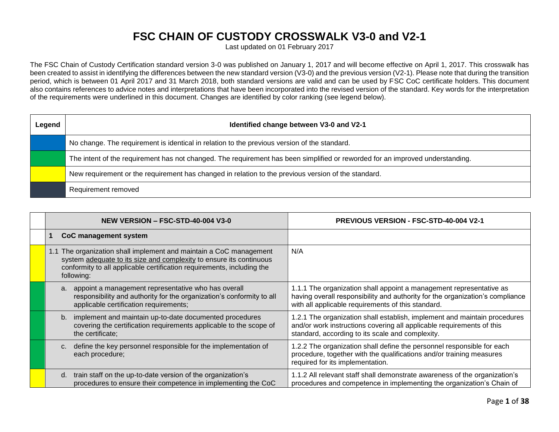## **FSC CHAIN OF CUSTODY CROSSWALK V3-0 and V2-1**

Last updated on 01 February 2017

The FSC Chain of Custody Certification standard version 3-0 was published on January 1, 2017 and will become effective on April 1, 2017. This crosswalk has been created to assist in identifying the differences between the new standard version (V3-0) and the previous version (V2-1). Please note that during the transition period, which is between 01 April 2017 and 31 March 2018, both standard versions are valid and can be used by FSC CoC certificate holders. This document also contains references to advice notes and interpretations that have been incorporated into the revised version of the standard. Key words for the interpretation of the requirements were underlined in this document. Changes are identified by color ranking (see legend below).

| Legend | Identified change between V3-0 and V2-1                                                                                       |  |  |  |
|--------|-------------------------------------------------------------------------------------------------------------------------------|--|--|--|
|        | No change. The requirement is identical in relation to the previous version of the standard.                                  |  |  |  |
|        | The intent of the requirement has not changed. The requirement has been simplified or reworded for an improved understanding. |  |  |  |
|        | New requirement or the requirement has changed in relation to the previous version of the standard.                           |  |  |  |
|        | Requirement removed                                                                                                           |  |  |  |

| NEW VERSION - FSC-STD-40-004 V3-0                                                                                                                                                                                                 | <b>PREVIOUS VERSION - FSC-STD-40-004 V2-1</b>                                                                                                                                                              |
|-----------------------------------------------------------------------------------------------------------------------------------------------------------------------------------------------------------------------------------|------------------------------------------------------------------------------------------------------------------------------------------------------------------------------------------------------------|
| CoC management system                                                                                                                                                                                                             |                                                                                                                                                                                                            |
| 1.1 The organization shall implement and maintain a CoC management<br>system adequate to its size and complexity to ensure its continuous<br>conformity to all applicable certification requirements, including the<br>following: | N/A                                                                                                                                                                                                        |
| appoint a management representative who has overall<br>a.<br>responsibility and authority for the organization's conformity to all<br>applicable certification requirements;                                                      | 1.1.1 The organization shall appoint a management representative as<br>having overall responsibility and authority for the organization's compliance<br>with all applicable requirements of this standard. |
| implement and maintain up-to-date documented procedures<br>b.<br>covering the certification requirements applicable to the scope of<br>the certificate;                                                                           | 1.2.1 The organization shall establish, implement and maintain procedures<br>and/or work instructions covering all applicable requirements of this<br>standard, according to its scale and complexity.     |
| define the key personnel responsible for the implementation of<br>$C_{1}$<br>each procedure;                                                                                                                                      | 1.2.2 The organization shall define the personnel responsible for each<br>procedure, together with the qualifications and/or training measures<br>required for its implementation.                         |
| train staff on the up-to-date version of the organization's<br>d.<br>procedures to ensure their competence in implementing the CoC                                                                                                | 1.1.2 All relevant staff shall demonstrate awareness of the organization's<br>procedures and competence in implementing the organization's Chain of                                                        |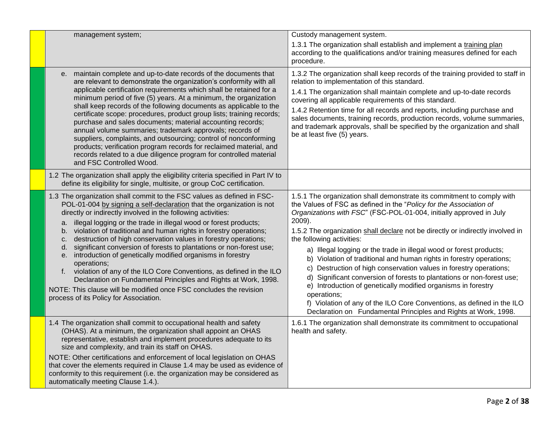| management system;                                                                                                                                                                                                                                                                                                                                                                                                                                                                                                                                                                                                                                                                                                                                                                                                                                                         | Custody management system.<br>1.3.1 The organization shall establish and implement a training plan<br>according to the qualifications and/or training measures defined for each<br>procedure.                                                                                                                                                                                                                                                                                                                                                                                                                                                                                                                                                                                                                                                                            |
|----------------------------------------------------------------------------------------------------------------------------------------------------------------------------------------------------------------------------------------------------------------------------------------------------------------------------------------------------------------------------------------------------------------------------------------------------------------------------------------------------------------------------------------------------------------------------------------------------------------------------------------------------------------------------------------------------------------------------------------------------------------------------------------------------------------------------------------------------------------------------|--------------------------------------------------------------------------------------------------------------------------------------------------------------------------------------------------------------------------------------------------------------------------------------------------------------------------------------------------------------------------------------------------------------------------------------------------------------------------------------------------------------------------------------------------------------------------------------------------------------------------------------------------------------------------------------------------------------------------------------------------------------------------------------------------------------------------------------------------------------------------|
| e. maintain complete and up-to-date records of the documents that<br>are relevant to demonstrate the organization's conformity with all<br>applicable certification requirements which shall be retained for a<br>minimum period of five (5) years. At a minimum, the organization<br>shall keep records of the following documents as applicable to the<br>certificate scope: procedures, product group lists; training records;<br>purchase and sales documents; material accounting records;<br>annual volume summaries; trademark approvals; records of<br>suppliers, complaints, and outsourcing; control of nonconforming<br>products; verification program records for reclaimed material, and<br>records related to a due diligence program for controlled material<br>and FSC Controlled Wood.                                                                    | 1.3.2 The organization shall keep records of the training provided to staff in<br>relation to implementation of this standard.<br>1.4.1 The organization shall maintain complete and up-to-date records<br>covering all applicable requirements of this standard.<br>1.4.2 Retention time for all records and reports, including purchase and<br>sales documents, training records, production records, volume summaries,<br>and trademark approvals, shall be specified by the organization and shall<br>be at least five (5) years.                                                                                                                                                                                                                                                                                                                                    |
| 1.2 The organization shall apply the eligibility criteria specified in Part IV to<br>define its eligibility for single, multisite, or group CoC certification.                                                                                                                                                                                                                                                                                                                                                                                                                                                                                                                                                                                                                                                                                                             |                                                                                                                                                                                                                                                                                                                                                                                                                                                                                                                                                                                                                                                                                                                                                                                                                                                                          |
| 1.3 The organization shall commit to the FSC values as defined in FSC-<br>POL-01-004 by signing a self-declaration that the organization is not<br>directly or indirectly involved in the following activities:<br>illegal logging or the trade in illegal wood or forest products;<br>a.<br>violation of traditional and human rights in forestry operations;<br>b.<br>destruction of high conservation values in forestry operations;<br>c.<br>significant conversion of forests to plantations or non-forest use;<br>d.<br>introduction of genetically modified organisms in forestry<br>е.<br>operations;<br>f. violation of any of the ILO Core Conventions, as defined in the ILO<br>Declaration on Fundamental Principles and Rights at Work, 1998.<br>NOTE: This clause will be modified once FSC concludes the revision<br>process of its Policy for Association. | 1.5.1 The organization shall demonstrate its commitment to comply with<br>the Values of FSC as defined in the "Policy for the Association of<br>Organizations with FSC" (FSC-POL-01-004, initially approved in July<br>2009).<br>1.5.2 The organization shall declare not be directly or indirectly involved in<br>the following activities:<br>a) Illegal logging or the trade in illegal wood or forest products;<br>b) Violation of traditional and human rights in forestry operations;<br>c) Destruction of high conservation values in forestry operations;<br>d) Significant conversion of forests to plantations or non-forest use;<br>e) Introduction of genetically modified organisms in forestry<br>operations;<br>f) Violation of any of the ILO Core Conventions, as defined in the ILO<br>Declaration on Fundamental Principles and Rights at Work, 1998. |
| 1.4 The organization shall commit to occupational health and safety<br>(OHAS). At a minimum, the organization shall appoint an OHAS<br>representative, establish and implement procedures adequate to its<br>size and complexity, and train its staff on OHAS.<br>NOTE: Other certifications and enforcement of local legislation on OHAS<br>that cover the elements required in Clause 1.4 may be used as evidence of<br>conformity to this requirement (i.e. the organization may be considered as<br>automatically meeting Clause 1.4.).                                                                                                                                                                                                                                                                                                                                | 1.6.1 The organization shall demonstrate its commitment to occupational<br>health and safety.                                                                                                                                                                                                                                                                                                                                                                                                                                                                                                                                                                                                                                                                                                                                                                            |
|                                                                                                                                                                                                                                                                                                                                                                                                                                                                                                                                                                                                                                                                                                                                                                                                                                                                            |                                                                                                                                                                                                                                                                                                                                                                                                                                                                                                                                                                                                                                                                                                                                                                                                                                                                          |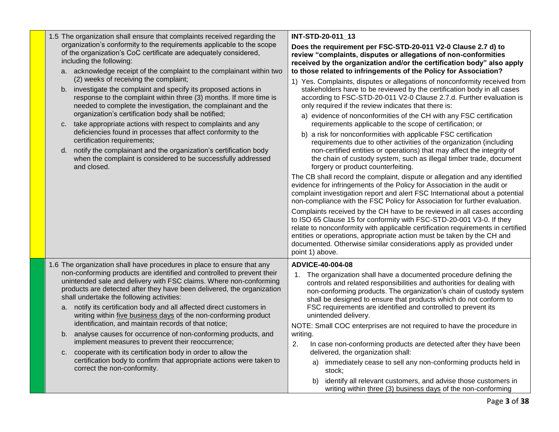| 1.5 The organization shall ensure that complaints received regarding the                                                                                                                                                                                            | INT-STD-20-011 13                                                                                                                                                                                                                                                                                                                                                                                        |  |  |
|---------------------------------------------------------------------------------------------------------------------------------------------------------------------------------------------------------------------------------------------------------------------|----------------------------------------------------------------------------------------------------------------------------------------------------------------------------------------------------------------------------------------------------------------------------------------------------------------------------------------------------------------------------------------------------------|--|--|
| organization's conformity to the requirements applicable to the scope<br>of the organization's CoC certificate are adequately considered,<br>including the following:                                                                                               | Does the requirement per FSC-STD-20-011 V2-0 Clause 2.7 d) to<br>review "complaints, disputes or allegations of non-conformities<br>received by the organization and/or the certification body" also apply                                                                                                                                                                                               |  |  |
| a. acknowledge receipt of the complaint to the complainant within two<br>(2) weeks of receiving the complaint;                                                                                                                                                      | to those related to infringements of the Policy for Association?<br>1) Yes. Complaints, disputes or allegations of nonconformity received from                                                                                                                                                                                                                                                           |  |  |
| investigate the complaint and specify its proposed actions in<br>b.<br>response to the complaint within three (3) months. If more time is<br>needed to complete the investigation, the complainant and the<br>organization's certification body shall be notified;  | stakeholders have to be reviewed by the certification body in all cases<br>according to FSC-STD-20-011 V2-0 Clause 2.7.d. Further evaluation is<br>only required if the review indicates that there is:                                                                                                                                                                                                  |  |  |
| take appropriate actions with respect to complaints and any<br>C.                                                                                                                                                                                                   | a) evidence of nonconformities of the CH with any FSC certification<br>requirements applicable to the scope of certification; or                                                                                                                                                                                                                                                                         |  |  |
| deficiencies found in processes that affect conformity to the<br>certification requirements;<br>d. notify the complainant and the organization's certification body<br>when the complaint is considered to be successfully addressed<br>and closed.                 | b) a risk for nonconformities with applicable FSC certification<br>requirements due to other activities of the organization (including<br>non-certified entities or operations) that may affect the integrity of<br>the chain of custody system, such as illegal timber trade, document<br>forgery or product counterfeiting.                                                                            |  |  |
|                                                                                                                                                                                                                                                                     | The CB shall record the complaint, dispute or allegation and any identified<br>evidence for infringements of the Policy for Association in the audit or<br>complaint investigation report and alert FSC International about a potential<br>non-compliance with the FSC Policy for Association for further evaluation.                                                                                    |  |  |
|                                                                                                                                                                                                                                                                     | Complaints received by the CH have to be reviewed in all cases according<br>to ISO 65 Clause 15 for conformity with FSC-STD-20-001 V3-0. If they<br>relate to nonconformity with applicable certification requirements in certified<br>entities or operations, appropriate action must be taken by the CH and<br>documented. Otherwise similar considerations apply as provided under<br>point 1) above. |  |  |
| 1.6 The organization shall have procedures in place to ensure that any                                                                                                                                                                                              | ADVICE-40-004-08                                                                                                                                                                                                                                                                                                                                                                                         |  |  |
| non-conforming products are identified and controlled to prevent their<br>unintended sale and delivery with FSC claims. Where non-conforming<br>products are detected after they have been delivered, the organization<br>shall undertake the following activities: | 1. The organization shall have a documented procedure defining the<br>controls and related responsibilities and authorities for dealing with<br>non-conforming products. The organization's chain of custody system<br>shall be designed to ensure that products which do not conform to                                                                                                                 |  |  |
| notify its certification body and all affected direct customers in<br>a.<br>writing within five business days of the non-conforming product<br>identification, and maintain records of that notice;                                                                 | FSC requirements are identified and controlled to prevent its<br>unintended delivery.                                                                                                                                                                                                                                                                                                                    |  |  |
| b. analyse causes for occurrence of non-conforming products, and<br>implement measures to prevent their reoccurrence;                                                                                                                                               | NOTE: Small COC enterprises are not required to have the procedure in<br>writing.<br>2.<br>In case non-conforming products are detected after they have been                                                                                                                                                                                                                                             |  |  |
| cooperate with its certification body in order to allow the<br>$C_{1}$<br>certification body to confirm that appropriate actions were taken to<br>correct the non-conformity.                                                                                       | delivered, the organization shall:<br>immediately cease to sell any non-conforming products held in<br>a)<br>stock;                                                                                                                                                                                                                                                                                      |  |  |
|                                                                                                                                                                                                                                                                     | identify all relevant customers, and advise those customers in<br>b)<br>writing within three (3) business days of the non-conforming                                                                                                                                                                                                                                                                     |  |  |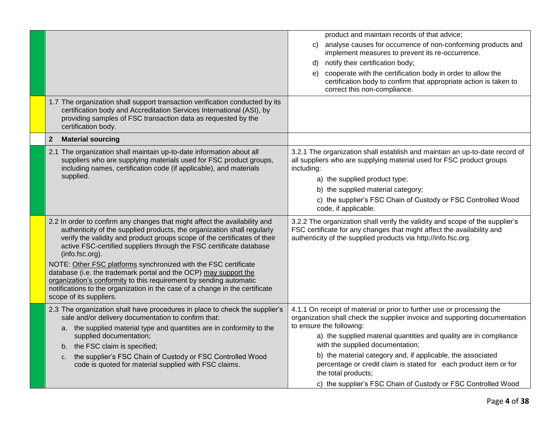|                                                                                                                                                                                                                                                                                                                                                                                                                                                                     | product and maintain records of that advice;                                                                                                                                                                             |
|---------------------------------------------------------------------------------------------------------------------------------------------------------------------------------------------------------------------------------------------------------------------------------------------------------------------------------------------------------------------------------------------------------------------------------------------------------------------|--------------------------------------------------------------------------------------------------------------------------------------------------------------------------------------------------------------------------|
|                                                                                                                                                                                                                                                                                                                                                                                                                                                                     |                                                                                                                                                                                                                          |
|                                                                                                                                                                                                                                                                                                                                                                                                                                                                     | analyse causes for occurrence of non-conforming products and<br>C)<br>implement measures to prevent its re-occurrence.                                                                                                   |
|                                                                                                                                                                                                                                                                                                                                                                                                                                                                     | notify their certification body;<br>d)                                                                                                                                                                                   |
|                                                                                                                                                                                                                                                                                                                                                                                                                                                                     | cooperate with the certification body in order to allow the<br>e)<br>certification body to confirm that appropriate action is taken to<br>correct this non-compliance.                                                   |
|                                                                                                                                                                                                                                                                                                                                                                                                                                                                     |                                                                                                                                                                                                                          |
| 1.7 The organization shall support transaction verification conducted by its<br>certification body and Accreditation Services International (ASI), by<br>providing samples of FSC transaction data as requested by the<br>certification body.                                                                                                                                                                                                                       |                                                                                                                                                                                                                          |
| $\overline{2}$<br><b>Material sourcing</b>                                                                                                                                                                                                                                                                                                                                                                                                                          |                                                                                                                                                                                                                          |
| 2.1 The organization shall maintain up-to-date information about all<br>suppliers who are supplying materials used for FSC product groups,<br>including names, certification code (if applicable), and materials                                                                                                                                                                                                                                                    | 3.2.1 The organization shall establish and maintain an up-to-date record of<br>all suppliers who are supplying material used for FSC product groups<br>including:                                                        |
| supplied.                                                                                                                                                                                                                                                                                                                                                                                                                                                           | a) the supplied product type;                                                                                                                                                                                            |
|                                                                                                                                                                                                                                                                                                                                                                                                                                                                     | b) the supplied material category;                                                                                                                                                                                       |
|                                                                                                                                                                                                                                                                                                                                                                                                                                                                     | c) the supplier's FSC Chain of Custody or FSC Controlled Wood<br>code, if applicable.                                                                                                                                    |
| 2.2 In order to confirm any changes that might affect the availability and<br>authenticity of the supplied products, the organization shall regularly<br>verify the validity and product groups scope of the certificates of their<br>active FSC-certified suppliers through the FSC certificate database<br>(info.fsc.org).<br>NOTE: Other FSC platforms synchronized with the FSC certificate<br>database (i.e. the trademark portal and the OCP) may support the | 3.2.2 The organization shall verify the validity and scope of the supplier's<br>FSC certificate for any changes that might affect the availability and<br>authenticity of the supplied products via http://info.fsc.org. |
| organization's conformity to this requirement by sending automatic                                                                                                                                                                                                                                                                                                                                                                                                  |                                                                                                                                                                                                                          |
| notifications to the organization in the case of a change in the certificate<br>scope of its suppliers.                                                                                                                                                                                                                                                                                                                                                             |                                                                                                                                                                                                                          |
| 2.3 The organization shall have procedures in place to check the supplier's<br>sale and/or delivery documentation to confirm that:<br>a. the supplied material type and quantities are in conformity to the                                                                                                                                                                                                                                                         | 4.1.1 On receipt of material or prior to further use or processing the<br>organization shall check the supplier invoice and supporting documentation<br>to ensure the following:                                         |
| supplied documentation;<br>b. the FSC claim is specified;                                                                                                                                                                                                                                                                                                                                                                                                           | a) the supplied material quantities and quality are in compliance<br>with the supplied documentation;                                                                                                                    |
| the supplier's FSC Chain of Custody or FSC Controlled Wood<br>c.                                                                                                                                                                                                                                                                                                                                                                                                    | b) the material category and, if applicable, the associated                                                                                                                                                              |
| code is quoted for material supplied with FSC claims.                                                                                                                                                                                                                                                                                                                                                                                                               | percentage or credit claim is stated for each product item or for<br>the total products;                                                                                                                                 |
|                                                                                                                                                                                                                                                                                                                                                                                                                                                                     | c) the supplier's FSC Chain of Custody or FSC Controlled Wood                                                                                                                                                            |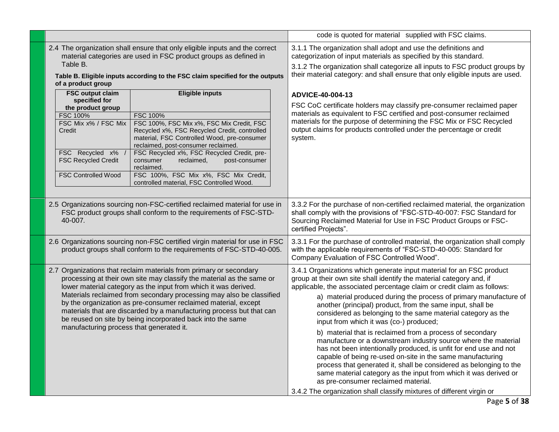|  |                                                                                                                                                                                                                                                                                                                                                                                                                                                                                                                                            |                                                                                                                                                                                                                                                                                                                                                                                                                           | code is quoted for material supplied with FSC claims. |                                                                                                                                                                                                                                                                                                                                                                                                                                                                                                                                                                                                                                                                                                                                                                                                                                                                                                                                                                                                   |
|--|--------------------------------------------------------------------------------------------------------------------------------------------------------------------------------------------------------------------------------------------------------------------------------------------------------------------------------------------------------------------------------------------------------------------------------------------------------------------------------------------------------------------------------------------|---------------------------------------------------------------------------------------------------------------------------------------------------------------------------------------------------------------------------------------------------------------------------------------------------------------------------------------------------------------------------------------------------------------------------|-------------------------------------------------------|---------------------------------------------------------------------------------------------------------------------------------------------------------------------------------------------------------------------------------------------------------------------------------------------------------------------------------------------------------------------------------------------------------------------------------------------------------------------------------------------------------------------------------------------------------------------------------------------------------------------------------------------------------------------------------------------------------------------------------------------------------------------------------------------------------------------------------------------------------------------------------------------------------------------------------------------------------------------------------------------------|
|  | 2.4 The organization shall ensure that only eligible inputs and the correct<br>material categories are used in FSC product groups as defined in<br>Table B.<br>Table B. Eligible inputs according to the FSC claim specified for the outputs<br>of a product group                                                                                                                                                                                                                                                                         |                                                                                                                                                                                                                                                                                                                                                                                                                           |                                                       | 3.1.1 The organization shall adopt and use the definitions and<br>categorization of input materials as specified by this standard.<br>3.1.2 The organization shall categorize all inputs to FSC product groups by<br>their material category: and shall ensure that only eligible inputs are used.                                                                                                                                                                                                                                                                                                                                                                                                                                                                                                                                                                                                                                                                                                |
|  | <b>FSC output claim</b><br>specified for<br>the product group<br><b>FSC 100%</b><br>FSC Mix x% / FSC Mix<br>Credit<br>FSC Recycled x%<br><b>FSC Recycled Credit</b><br><b>FSC Controlled Wood</b>                                                                                                                                                                                                                                                                                                                                          | <b>Eligible inputs</b><br><b>FSC 100%</b><br>FSC 100%, FSC Mix x%, FSC Mix Credit, FSC<br>Recycled x%, FSC Recycled Credit, controlled<br>material, FSC Controlled Wood, pre-consumer<br>reclaimed, post-consumer reclaimed.<br>FSC Recycled x%, FSC Recycled Credit, pre-<br>post-consumer<br>consumer<br>reclaimed,<br>reclaimed.<br>FSC 100%, FSC Mix x%, FSC Mix Credit,<br>controlled material, FSC Controlled Wood. |                                                       | ADVICE-40-004-13<br>FSC CoC certificate holders may classify pre-consumer reclaimed paper<br>materials as equivalent to FSC certified and post-consumer reclaimed<br>materials for the purpose of determining the FSC Mix or FSC Recycled<br>output claims for products controlled under the percentage or credit<br>system.                                                                                                                                                                                                                                                                                                                                                                                                                                                                                                                                                                                                                                                                      |
|  | 2.5 Organizations sourcing non-FSC-certified reclaimed material for use in<br>FSC product groups shall conform to the requirements of FSC-STD-<br>40-007.                                                                                                                                                                                                                                                                                                                                                                                  |                                                                                                                                                                                                                                                                                                                                                                                                                           |                                                       | 3.3.2 For the purchase of non-certified reclaimed material, the organization<br>shall comply with the provisions of "FSC-STD-40-007: FSC Standard for<br>Sourcing Reclaimed Material for Use in FSC Product Groups or FSC-<br>certified Projects".                                                                                                                                                                                                                                                                                                                                                                                                                                                                                                                                                                                                                                                                                                                                                |
|  | 2.6 Organizations sourcing non-FSC certified virgin material for use in FSC<br>product groups shall conform to the requirements of FSC-STD-40-005.                                                                                                                                                                                                                                                                                                                                                                                         |                                                                                                                                                                                                                                                                                                                                                                                                                           |                                                       | 3.3.1 For the purchase of controlled material, the organization shall comply<br>with the applicable requirements of "FSC-STD-40-005: Standard for<br>Company Evaluation of FSC Controlled Wood".                                                                                                                                                                                                                                                                                                                                                                                                                                                                                                                                                                                                                                                                                                                                                                                                  |
|  | 2.7 Organizations that reclaim materials from primary or secondary<br>processing at their own site may classify the material as the same or<br>lower material category as the input from which it was derived.<br>Materials reclaimed from secondary processing may also be classified<br>by the organization as pre-consumer reclaimed material, except<br>materials that are discarded by a manufacturing process but that can<br>be reused on site by being incorporated back into the same<br>manufacturing process that generated it. |                                                                                                                                                                                                                                                                                                                                                                                                                           |                                                       | 3.4.1 Organizations which generate input material for an FSC product<br>group at their own site shall identify the material category and, if<br>applicable, the associated percentage claim or credit claim as follows:<br>a) material produced during the process of primary manufacture of<br>another (principal) product, from the same input, shall be<br>considered as belonging to the same material category as the<br>input from which it was (co-) produced;<br>b) material that is reclaimed from a process of secondary<br>manufacture or a downstream industry source where the material<br>has not been intentionally produced, is unfit for end use and not<br>capable of being re-used on-site in the same manufacturing<br>process that generated it, shall be considered as belonging to the<br>same material category as the input from which it was derived or<br>as pre-consumer reclaimed material.<br>3.4.2 The organization shall classify mixtures of different virgin or |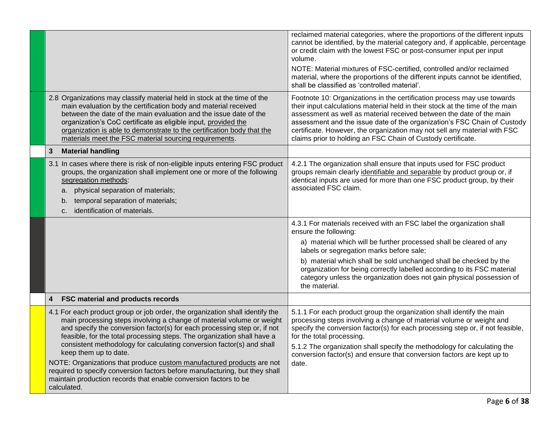|                                                                                                                                                                                                                                                                                                                                                                                                                                                                                                                                                                                                                                                           | reclaimed material categories, where the proportions of the different inputs<br>cannot be identified, by the material category and, if applicable, percentage<br>or credit claim with the lowest FSC or post-consumer input per input<br>volume.<br>NOTE: Material mixtures of FSC-certified, controlled and/or reclaimed<br>material, where the proportions of the different inputs cannot be identified,<br>shall be classified as 'controlled material'. |
|-----------------------------------------------------------------------------------------------------------------------------------------------------------------------------------------------------------------------------------------------------------------------------------------------------------------------------------------------------------------------------------------------------------------------------------------------------------------------------------------------------------------------------------------------------------------------------------------------------------------------------------------------------------|-------------------------------------------------------------------------------------------------------------------------------------------------------------------------------------------------------------------------------------------------------------------------------------------------------------------------------------------------------------------------------------------------------------------------------------------------------------|
| 2.8 Organizations may classify material held in stock at the time of the<br>main evaluation by the certification body and material received<br>between the date of the main evaluation and the issue date of the<br>organization's CoC certificate as eligible input, provided the<br>organization is able to demonstrate to the certification body that the<br>materials meet the FSC material sourcing requirements.                                                                                                                                                                                                                                    | Footnote 10: Organizations in the certification process may use towards<br>their input calculations material held in their stock at the time of the main<br>assessment as well as material received between the date of the main<br>assessment and the issue date of the organization's FSC Chain of Custody<br>certificate. However, the organization may not sell any material with FSC<br>claims prior to holding an FSC Chain of Custody certificate.   |
| $\mathbf{3}$<br><b>Material handling</b>                                                                                                                                                                                                                                                                                                                                                                                                                                                                                                                                                                                                                  |                                                                                                                                                                                                                                                                                                                                                                                                                                                             |
| 3.1 In cases where there is risk of non-eligible inputs entering FSC product<br>groups, the organization shall implement one or more of the following<br>segregation methods:<br>physical separation of materials;<br>a.<br>temporal separation of materials;<br>b.<br>identification of materials.<br>C.                                                                                                                                                                                                                                                                                                                                                 | 4.2.1 The organization shall ensure that inputs used for FSC product<br>groups remain clearly identifiable and separable by product group or, if<br>identical inputs are used for more than one FSC product group, by their<br>associated FSC claim.                                                                                                                                                                                                        |
|                                                                                                                                                                                                                                                                                                                                                                                                                                                                                                                                                                                                                                                           | 4.3.1 For materials received with an FSC label the organization shall<br>ensure the following:                                                                                                                                                                                                                                                                                                                                                              |
|                                                                                                                                                                                                                                                                                                                                                                                                                                                                                                                                                                                                                                                           | a) material which will be further processed shall be cleared of any<br>labels or segregation marks before sale;                                                                                                                                                                                                                                                                                                                                             |
|                                                                                                                                                                                                                                                                                                                                                                                                                                                                                                                                                                                                                                                           | b) material which shall be sold unchanged shall be checked by the<br>organization for being correctly labelled according to its FSC material<br>category unless the organization does not gain physical possession of<br>the material.                                                                                                                                                                                                                      |
| FSC material and products records<br>4                                                                                                                                                                                                                                                                                                                                                                                                                                                                                                                                                                                                                    |                                                                                                                                                                                                                                                                                                                                                                                                                                                             |
| 4.1 For each product group or job order, the organization shall identify the<br>main processing steps involving a change of material volume or weight<br>and specify the conversion factor(s) for each processing step or, if not<br>feasible, for the total processing steps. The organization shall have a<br>consistent methodology for calculating conversion factor(s) and shall<br>keep them up to date.<br>NOTE: Organizations that produce custom manufactured products are not<br>required to specify conversion factors before manufacturing, but they shall<br>maintain production records that enable conversion factors to be<br>calculated. | 5.1.1 For each product group the organization shall identify the main<br>processing steps involving a change of material volume or weight and<br>specify the conversion factor(s) for each processing step or, if not feasible,<br>for the total processing.<br>5.1.2 The organization shall specify the methodology for calculating the<br>conversion factor(s) and ensure that conversion factors are kept up to<br>date.                                 |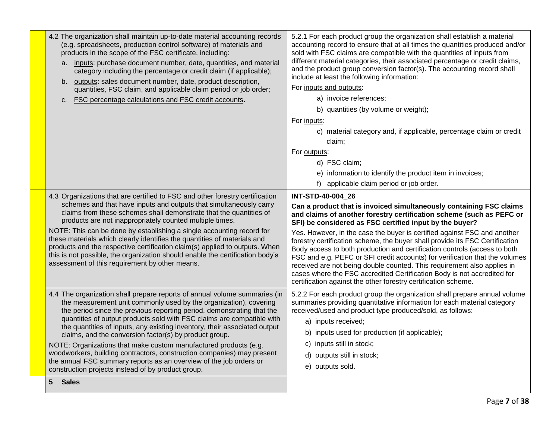| 4.2 The organization shall maintain up-to-date material accounting records<br>(e.g. spreadsheets, production control software) of materials and<br>products in the scope of the FSC certificate, including:<br>a. inputs: purchase document number, date, quantities, and material<br>category including the percentage or credit claim (if applicable);<br>b. outputs: sales document number, date, product description,<br>quantities, FSC claim, and applicable claim period or job order;<br>c. FSC percentage calculations and FSC credit accounts.                                                                                                                                                            | 5.2.1 For each product group the organization shall establish a material<br>accounting record to ensure that at all times the quantities produced and/or<br>sold with FSC claims are compatible with the quantities of inputs from<br>different material categories, their associated percentage or credit claims,<br>and the product group conversion factor(s). The accounting record shall<br>include at least the following information:<br>For inputs and outputs:<br>a) invoice references;<br>b) quantities (by volume or weight);<br>For inputs:<br>c) material category and, if applicable, percentage claim or credit<br>claim;<br>For outputs:<br>d) FSC claim;<br>e) information to identify the product item in invoices;<br>f) applicable claim period or job order. |
|---------------------------------------------------------------------------------------------------------------------------------------------------------------------------------------------------------------------------------------------------------------------------------------------------------------------------------------------------------------------------------------------------------------------------------------------------------------------------------------------------------------------------------------------------------------------------------------------------------------------------------------------------------------------------------------------------------------------|------------------------------------------------------------------------------------------------------------------------------------------------------------------------------------------------------------------------------------------------------------------------------------------------------------------------------------------------------------------------------------------------------------------------------------------------------------------------------------------------------------------------------------------------------------------------------------------------------------------------------------------------------------------------------------------------------------------------------------------------------------------------------------|
| 4.3 Organizations that are certified to FSC and other forestry certification<br>schemes and that have inputs and outputs that simultaneously carry<br>claims from these schemes shall demonstrate that the quantities of<br>products are not inappropriately counted multiple times.<br>NOTE: This can be done by establishing a single accounting record for<br>these materials which clearly identifies the quantities of materials and<br>products and the respective certification claim(s) applied to outputs. When<br>this is not possible, the organization should enable the certification body's<br>assessment of this requirement by other means.                                                         | INT-STD-40-004 26<br>Can a product that is invoiced simultaneously containing FSC claims<br>and claims of another forestry certification scheme (such as PEFC or<br>SFI) be considered as FSC certified input by the buyer?<br>Yes. However, in the case the buyer is certified against FSC and another<br>forestry certification scheme, the buyer shall provide its FSC Certification<br>Body access to both production and certification controls (access to both<br>FSC and e.g. PEFC or SFI credit accounts) for verification that the volumes<br>received are not being double counted. This requirement also applies in<br>cases where the FSC accredited Certification Body is not accredited for<br>certification against the other forestry certification scheme.        |
| 4.4 The organization shall prepare reports of annual volume summaries (in<br>the measurement unit commonly used by the organization), covering<br>the period since the previous reporting period, demonstrating that the<br>quantities of output products sold with FSC claims are compatible with<br>the quantities of inputs, any existing inventory, their associated output<br>claims, and the conversion factor(s) by product group.<br>NOTE: Organizations that make custom manufactured products (e.g.<br>woodworkers, building contractors, construction companies) may present<br>the annual FSC summary reports as an overview of the job orders or<br>construction projects instead of by product group. | 5.2.2 For each product group the organization shall prepare annual volume<br>summaries providing quantitative information for each material category<br>received/used and product type produced/sold, as follows:<br>a) inputs received;<br>b) inputs used for production (if applicable);<br>c) inputs still in stock;<br>d) outputs still in stock;<br>e) outputs sold.                                                                                                                                                                                                                                                                                                                                                                                                          |
| <b>Sales</b><br>5.                                                                                                                                                                                                                                                                                                                                                                                                                                                                                                                                                                                                                                                                                                  |                                                                                                                                                                                                                                                                                                                                                                                                                                                                                                                                                                                                                                                                                                                                                                                    |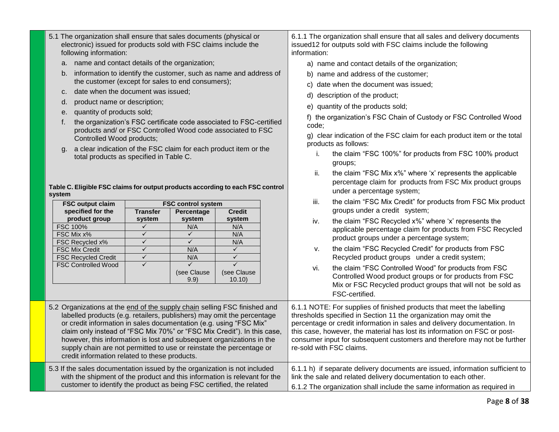| following information:                                                                                                                                                                         |                                                                                |                   |                             |                                        | information: |                                                                                                                                                       |                                                                                                 |
|------------------------------------------------------------------------------------------------------------------------------------------------------------------------------------------------|--------------------------------------------------------------------------------|-------------------|-----------------------------|----------------------------------------|--------------|-------------------------------------------------------------------------------------------------------------------------------------------------------|-------------------------------------------------------------------------------------------------|
| name and contact details of the organization;                                                                                                                                                  |                                                                                |                   |                             |                                        |              | a) name and contact details of the organization;                                                                                                      |                                                                                                 |
| information to identify the customer, such as name and address of<br>b.                                                                                                                        |                                                                                |                   |                             |                                        |              | b) name and address of the customer;                                                                                                                  |                                                                                                 |
|                                                                                                                                                                                                | the customer (except for sales to end consumers);                              |                   |                             |                                        |              |                                                                                                                                                       | c) date when the document was issued;                                                           |
|                                                                                                                                                                                                | date when the document was issued;<br>c.                                       |                   |                             |                                        |              |                                                                                                                                                       | d) description of the product;                                                                  |
|                                                                                                                                                                                                | product name or description;<br>d.                                             |                   |                             |                                        |              |                                                                                                                                                       |                                                                                                 |
|                                                                                                                                                                                                | quantity of products sold;<br>е.                                               |                   |                             |                                        |              |                                                                                                                                                       | e) quantity of the products sold;                                                               |
|                                                                                                                                                                                                | the organization's FSC certificate code associated to FSC-certified<br>f.      |                   |                             |                                        |              |                                                                                                                                                       | f) the organization's FSC Chain of Custody or FSC Controlled Wood                               |
|                                                                                                                                                                                                | products and/ or FSC Controlled Wood code associated to FSC                    |                   |                             |                                        |              | code;                                                                                                                                                 |                                                                                                 |
|                                                                                                                                                                                                | Controlled Wood products;                                                      |                   |                             |                                        |              |                                                                                                                                                       | g) clear indication of the FSC claim for each product item or the total<br>products as follows: |
|                                                                                                                                                                                                | a clear indication of the FSC claim for each product item or the<br>a.         |                   |                             |                                        |              | i.                                                                                                                                                    | the claim "FSC 100%" for products from FSC 100% product                                         |
|                                                                                                                                                                                                | total products as specified in Table C.                                        |                   |                             |                                        |              |                                                                                                                                                       | groups;                                                                                         |
|                                                                                                                                                                                                |                                                                                |                   |                             |                                        |              | ii.                                                                                                                                                   | the claim "FSC Mix x%" where 'x' represents the applicable                                      |
|                                                                                                                                                                                                |                                                                                |                   |                             |                                        |              |                                                                                                                                                       | percentage claim for products from FSC Mix product groups                                       |
| system                                                                                                                                                                                         | Table C. Eligible FSC claims for output products according to each FSC control |                   |                             |                                        |              |                                                                                                                                                       | under a percentage system;                                                                      |
|                                                                                                                                                                                                | <b>FSC output claim</b>                                                        |                   | <b>FSC control system</b>   |                                        |              | iii.                                                                                                                                                  | the claim "FSC Mix Credit" for products from FSC Mix product                                    |
|                                                                                                                                                                                                | specified for the                                                              | <b>Transfer</b>   | Percentage                  | <b>Credit</b>                          |              |                                                                                                                                                       | groups under a credit system;                                                                   |
|                                                                                                                                                                                                | product group                                                                  | system            | system                      | system                                 |              | iv.                                                                                                                                                   | the claim "FSC Recycled x%" where 'x' represents the                                            |
|                                                                                                                                                                                                | <b>FSC 100%</b><br>FSC Mix x%                                                  | ✓<br>$\checkmark$ | N/A<br>$\checkmark$         | N/A<br>N/A                             |              |                                                                                                                                                       | applicable percentage claim for products from FSC Recycled                                      |
|                                                                                                                                                                                                | FSC Recycled x%                                                                | $\checkmark$      | $\checkmark$                | N/A                                    |              |                                                                                                                                                       | product groups under a percentage system;                                                       |
|                                                                                                                                                                                                | <b>FSC Mix Credit</b>                                                          | $\checkmark$      | N/A                         | $\checkmark$                           |              | v.                                                                                                                                                    | the claim "FSC Recycled Credit" for products from FSC                                           |
|                                                                                                                                                                                                | <b>FSC Recycled Credit</b>                                                     | $\checkmark$      | N/A                         | $\checkmark$                           |              |                                                                                                                                                       | Recycled product groups under a credit system;                                                  |
|                                                                                                                                                                                                | <b>FSC Controlled Wood</b>                                                     | $\checkmark$      | $\checkmark$<br>(see Clause | $\overline{\checkmark}$<br>(see Clause |              | vi.                                                                                                                                                   | the claim "FSC Controlled Wood" for products from FSC                                           |
|                                                                                                                                                                                                |                                                                                |                   | 9.9)                        | 10.10                                  |              |                                                                                                                                                       | Controlled Wood product groups or for products from FSC                                         |
|                                                                                                                                                                                                |                                                                                |                   |                             |                                        |              |                                                                                                                                                       | Mix or FSC Recycled product groups that will not be sold as                                     |
|                                                                                                                                                                                                |                                                                                |                   |                             |                                        |              |                                                                                                                                                       | FSC-certified.                                                                                  |
|                                                                                                                                                                                                | 5.2 Organizations at the end of the supply chain selling FSC finished and      |                   |                             |                                        |              |                                                                                                                                                       | 6.1.1 NOTE: For supplies of finished products that meet the labelling                           |
|                                                                                                                                                                                                | labelled products (e.g. retailers, publishers) may omit the percentage         |                   |                             |                                        |              |                                                                                                                                                       | thresholds specified in Section 11 the organization may omit the                                |
| or credit information in sales documentation (e.g. using "FSC Mix"                                                                                                                             |                                                                                |                   |                             |                                        |              | percentage or credit information in sales and delivery documentation. In                                                                              |                                                                                                 |
| claim only instead of "FSC Mix 70%" or "FSC Mix Credit"). In this case,                                                                                                                        |                                                                                |                   |                             |                                        |              | this case, however, the material has lost its information on FSC or post-<br>consumer input for subsequent customers and therefore may not be further |                                                                                                 |
| however, this information is lost and subsequent organizations in the<br>supply chain are not permitted to use or reinstate the percentage or<br>credit information related to these products. |                                                                                |                   |                             |                                        |              | re-sold with FSC claims.                                                                                                                              |                                                                                                 |
|                                                                                                                                                                                                |                                                                                |                   |                             |                                        |              |                                                                                                                                                       |                                                                                                 |
|                                                                                                                                                                                                |                                                                                |                   |                             |                                        |              | 6.1.1 h) if separate delivery documents are issued, information sufficient to                                                                         |                                                                                                 |
| 5.3 If the sales documentation issued by the organization is not included<br>with the shipment of the product and this information is relevant for the                                         |                                                                                |                   |                             |                                        |              | link the sale and related delivery documentation to each other.                                                                                       |                                                                                                 |
| customer to identify the product as being FSC certified, the related                                                                                                                           |                                                                                |                   |                             |                                        |              |                                                                                                                                                       | 6.1.2 The organization shall include the same information as required in                        |
|                                                                                                                                                                                                |                                                                                |                   |                             |                                        |              |                                                                                                                                                       |                                                                                                 |

6.1.1 The organization shall ensure that all sales and delivery documents

issued12 for outputs sold with FSC claims include the following

5.1 The organization shall ensure that sales documents (physical or electronic) issued for products sold with FSC claims include the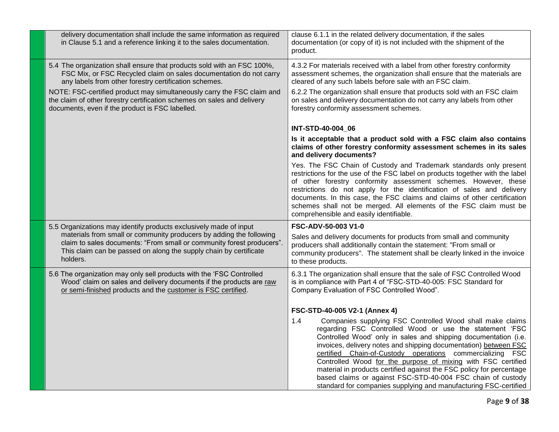| delivery documentation shall include the same information as required<br>in Clause 5.1 and a reference linking it to the sales documentation.                                                                                                                                                                                                                                                                 | clause 6.1.1 in the related delivery documentation, if the sales<br>documentation (or copy of it) is not included with the shipment of the<br>product.                                                                                                                                                                                                                                                                                                                                                                                                                                                     |
|---------------------------------------------------------------------------------------------------------------------------------------------------------------------------------------------------------------------------------------------------------------------------------------------------------------------------------------------------------------------------------------------------------------|------------------------------------------------------------------------------------------------------------------------------------------------------------------------------------------------------------------------------------------------------------------------------------------------------------------------------------------------------------------------------------------------------------------------------------------------------------------------------------------------------------------------------------------------------------------------------------------------------------|
| 5.4 The organization shall ensure that products sold with an FSC 100%,<br>FSC Mix, or FSC Recycled claim on sales documentation do not carry<br>any labels from other forestry certification schemes.<br>NOTE: FSC-certified product may simultaneously carry the FSC claim and<br>the claim of other forestry certification schemes on sales and delivery<br>documents, even if the product is FSC labelled. | 4.3.2 For materials received with a label from other forestry conformity<br>assessment schemes, the organization shall ensure that the materials are<br>cleared of any such labels before sale with an FSC claim.<br>6.2.2 The organization shall ensure that products sold with an FSC claim<br>on sales and delivery documentation do not carry any labels from other<br>forestry conformity assessment schemes.                                                                                                                                                                                         |
|                                                                                                                                                                                                                                                                                                                                                                                                               | INT-STD-40-004 06                                                                                                                                                                                                                                                                                                                                                                                                                                                                                                                                                                                          |
|                                                                                                                                                                                                                                                                                                                                                                                                               | Is it acceptable that a product sold with a FSC claim also contains<br>claims of other forestry conformity assessment schemes in its sales<br>and delivery documents?                                                                                                                                                                                                                                                                                                                                                                                                                                      |
|                                                                                                                                                                                                                                                                                                                                                                                                               | Yes. The FSC Chain of Custody and Trademark standards only present<br>restrictions for the use of the FSC label on products together with the label<br>of other forestry conformity assessment schemes. However, these<br>restrictions do not apply for the identification of sales and delivery<br>documents. In this case, the FSC claims and claims of other certification<br>schemes shall not be merged. All elements of the FSC claim must be<br>comprehensible and easily identifiable.                                                                                                             |
| 5.5 Organizations may identify products exclusively made of input                                                                                                                                                                                                                                                                                                                                             | <b>FSC-ADV-50-003 V1-0</b>                                                                                                                                                                                                                                                                                                                                                                                                                                                                                                                                                                                 |
| materials from small or community producers by adding the following<br>claim to sales documents: "From small or community forest producers".<br>This claim can be passed on along the supply chain by certificate<br>holders.                                                                                                                                                                                 | Sales and delivery documents for products from small and community<br>producers shall additionally contain the statement: "From small or<br>community producers". The statement shall be clearly linked in the invoice<br>to these products.                                                                                                                                                                                                                                                                                                                                                               |
| 5.6 The organization may only sell products with the 'FSC Controlled<br>Wood' claim on sales and delivery documents if the products are raw<br>or semi-finished products and the customer is FSC certified.                                                                                                                                                                                                   | 6.3.1 The organization shall ensure that the sale of FSC Controlled Wood<br>is in compliance with Part 4 of "FSC-STD-40-005: FSC Standard for<br>Company Evaluation of FSC Controlled Wood".                                                                                                                                                                                                                                                                                                                                                                                                               |
|                                                                                                                                                                                                                                                                                                                                                                                                               | FSC-STD-40-005 V2-1 (Annex 4)                                                                                                                                                                                                                                                                                                                                                                                                                                                                                                                                                                              |
|                                                                                                                                                                                                                                                                                                                                                                                                               | Companies supplying FSC Controlled Wood shall make claims<br>1.4<br>regarding FSC Controlled Wood or use the statement 'FSC<br>Controlled Wood' only in sales and shipping documentation (i.e.<br>invoices, delivery notes and shipping documentation) between FSC<br>certified Chain-of-Custody operations commercializing FSC<br>Controlled Wood for the purpose of mixing with FSC certified<br>material in products certified against the FSC policy for percentage<br>based claims or against FSC-STD-40-004 FSC chain of custody<br>standard for companies supplying and manufacturing FSC-certified |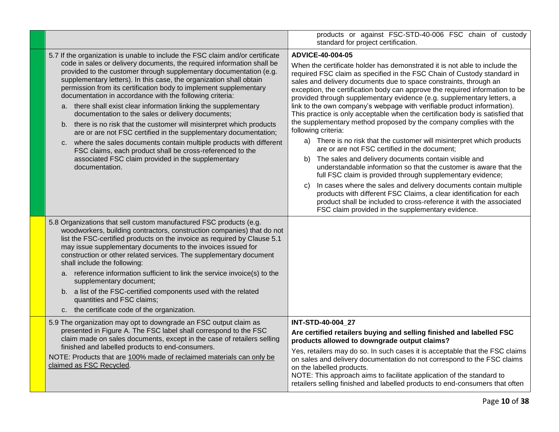|                                                                                                                                                                                                                                                                                                                                                                                                                                                                                                                                                                                                                                                                                                                                                                                                                                                                                                                                  | products or against FSC-STD-40-006 FSC chain of custody<br>standard for project certification.                                                                                                                                                                                                                                                                                                                                                                                                                                                                                                                                                                                                                                                                                                                                                                                                                                                                                                                                                                                                                                                                                                                                                                              |
|----------------------------------------------------------------------------------------------------------------------------------------------------------------------------------------------------------------------------------------------------------------------------------------------------------------------------------------------------------------------------------------------------------------------------------------------------------------------------------------------------------------------------------------------------------------------------------------------------------------------------------------------------------------------------------------------------------------------------------------------------------------------------------------------------------------------------------------------------------------------------------------------------------------------------------|-----------------------------------------------------------------------------------------------------------------------------------------------------------------------------------------------------------------------------------------------------------------------------------------------------------------------------------------------------------------------------------------------------------------------------------------------------------------------------------------------------------------------------------------------------------------------------------------------------------------------------------------------------------------------------------------------------------------------------------------------------------------------------------------------------------------------------------------------------------------------------------------------------------------------------------------------------------------------------------------------------------------------------------------------------------------------------------------------------------------------------------------------------------------------------------------------------------------------------------------------------------------------------|
| 5.7 If the organization is unable to include the FSC claim and/or certificate<br>code in sales or delivery documents, the required information shall be<br>provided to the customer through supplementary documentation (e.g.<br>supplementary letters). In this case, the organization shall obtain<br>permission from its certification body to implement supplementary<br>documentation in accordance with the following criteria:<br>a. there shall exist clear information linking the supplementary<br>documentation to the sales or delivery documents;<br>there is no risk that the customer will misinterpret which products<br>b.<br>are or are not FSC certified in the supplementary documentation;<br>where the sales documents contain multiple products with different<br>C.<br>FSC claims, each product shall be cross-referenced to the<br>associated FSC claim provided in the supplementary<br>documentation. | ADVICE-40-004-05<br>When the certificate holder has demonstrated it is not able to include the<br>required FSC claim as specified in the FSC Chain of Custody standard in<br>sales and delivery documents due to space constraints, through an<br>exception, the certification body can approve the required information to be<br>provided through supplementary evidence (e.g. supplementary letters, a<br>link to the own company's webpage with verifiable product information).<br>This practice is only acceptable when the certification body is satisfied that<br>the supplementary method proposed by the company complies with the<br>following criteria:<br>a) There is no risk that the customer will misinterpret which products<br>are or are not FSC certified in the document;<br>The sales and delivery documents contain visible and<br>b)<br>understandable information so that the customer is aware that the<br>full FSC claim is provided through supplementary evidence;<br>In cases where the sales and delivery documents contain multiple<br>C)<br>products with different FSC Claims, a clear identification for each<br>product shall be included to cross-reference it with the associated<br>FSC claim provided in the supplementary evidence. |
| 5.8 Organizations that sell custom manufactured FSC products (e.g.<br>woodworkers, building contractors, construction companies) that do not<br>list the FSC-certified products on the invoice as required by Clause 5.1<br>may issue supplementary documents to the invoices issued for<br>construction or other related services. The supplementary document<br>shall include the following:<br>reference information sufficient to link the service invoice(s) to the<br>a.<br>supplementary document;<br>b. a list of the FSC-certified components used with the related<br>quantities and FSC claims;<br>c. the certificate code of the organization.                                                                                                                                                                                                                                                                       |                                                                                                                                                                                                                                                                                                                                                                                                                                                                                                                                                                                                                                                                                                                                                                                                                                                                                                                                                                                                                                                                                                                                                                                                                                                                             |
| 5.9 The organization may opt to downgrade an FSC output claim as<br>presented in Figure A. The FSC label shall correspond to the FSC<br>claim made on sales documents, except in the case of retailers selling<br>finished and labelled products to end-consumers.<br>NOTE: Products that are 100% made of reclaimed materials can only be<br>claimed as FSC Recycled.                                                                                                                                                                                                                                                                                                                                                                                                                                                                                                                                                           | INT-STD-40-004 27<br>Are certified retailers buying and selling finished and labelled FSC<br>products allowed to downgrade output claims?<br>Yes, retailers may do so. In such cases it is acceptable that the FSC claims<br>on sales and delivery documentation do not correspond to the FSC claims<br>on the labelled products.<br>NOTE: This approach aims to facilitate application of the standard to<br>retailers selling finished and labelled products to end-consumers that often                                                                                                                                                                                                                                                                                                                                                                                                                                                                                                                                                                                                                                                                                                                                                                                  |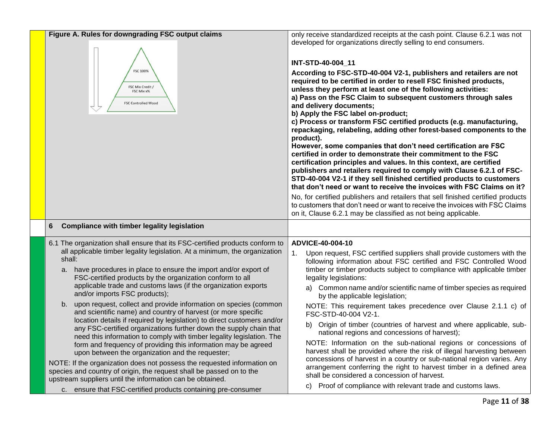| Figure A. Rules for downgrading FSC output claims<br><b>FSC 100%</b><br>FSC Mix Credit /<br>FSC Mix x%<br><b>FSC Controlled Wood</b>                                                                                                                                                                                                                                                                                                                                                                                                                                                                                                                                                                                                                                                                                                                                                                                                                                                                                                                                                                                                                                               | only receive standardized receipts at the cash point. Clause 6.2.1 was not<br>developed for organizations directly selling to end consumers.<br>INT-STD-40-004 11<br>According to FSC-STD-40-004 V2-1, publishers and retailers are not<br>required to be certified in order to resell FSC finished products,<br>unless they perform at least one of the following activities:<br>a) Pass on the FSC Claim to subsequent customers through sales<br>and delivery documents;<br>b) Apply the FSC label on-product;<br>c) Process or transform FSC certified products (e.g. manufacturing,<br>repackaging, relabeling, adding other forest-based components to the<br>product).<br>However, some companies that don't need certification are FSC<br>certified in order to demonstrate their commitment to the FSC<br>certification principles and values. In this context, are certified<br>publishers and retailers required to comply with Clause 6.2.1 of FSC-<br>STD-40-004 V2-1 if they sell finished certified products to customers<br>that don't need or want to receive the invoices with FSC Claims on it?<br>No, for certified publishers and retailers that sell finished certified products<br>to customers that don't need or want to receive the invoices with FSC Claims<br>on it, Clause 6.2.1 may be classified as not being applicable. |
|------------------------------------------------------------------------------------------------------------------------------------------------------------------------------------------------------------------------------------------------------------------------------------------------------------------------------------------------------------------------------------------------------------------------------------------------------------------------------------------------------------------------------------------------------------------------------------------------------------------------------------------------------------------------------------------------------------------------------------------------------------------------------------------------------------------------------------------------------------------------------------------------------------------------------------------------------------------------------------------------------------------------------------------------------------------------------------------------------------------------------------------------------------------------------------|----------------------------------------------------------------------------------------------------------------------------------------------------------------------------------------------------------------------------------------------------------------------------------------------------------------------------------------------------------------------------------------------------------------------------------------------------------------------------------------------------------------------------------------------------------------------------------------------------------------------------------------------------------------------------------------------------------------------------------------------------------------------------------------------------------------------------------------------------------------------------------------------------------------------------------------------------------------------------------------------------------------------------------------------------------------------------------------------------------------------------------------------------------------------------------------------------------------------------------------------------------------------------------------------------------------------------------------------------------|
| <b>Compliance with timber legality legislation</b><br>6                                                                                                                                                                                                                                                                                                                                                                                                                                                                                                                                                                                                                                                                                                                                                                                                                                                                                                                                                                                                                                                                                                                            |                                                                                                                                                                                                                                                                                                                                                                                                                                                                                                                                                                                                                                                                                                                                                                                                                                                                                                                                                                                                                                                                                                                                                                                                                                                                                                                                                          |
| 6.1 The organization shall ensure that its FSC-certified products conform to<br>all applicable timber legality legislation. At a minimum, the organization<br>shall:<br>a. have procedures in place to ensure the import and/or export of<br>FSC-certified products by the organization conform to all<br>applicable trade and customs laws (if the organization exports<br>and/or imports FSC products);<br>b. upon request, collect and provide information on species (common<br>and scientific name) and country of harvest (or more specific<br>location details if required by legislation) to direct customers and/or<br>any FSC-certified organizations further down the supply chain that<br>need this information to comply with timber legality legislation. The<br>form and frequency of providing this information may be agreed<br>upon between the organization and the requester;<br>NOTE: If the organization does not possess the requested information on<br>species and country of origin, the request shall be passed on to the<br>upstream suppliers until the information can be obtained.<br>c. ensure that FSC-certified products containing pre-consumer | ADVICE-40-004-10<br>Upon request, FSC certified suppliers shall provide customers with the<br>1 <sub>1</sub><br>following information about FSC certified and FSC Controlled Wood<br>timber or timber products subject to compliance with applicable timber<br>legality legislations:<br>a) Common name and/or scientific name of timber species as required<br>by the applicable legislation;<br>NOTE: This requirement takes precedence over Clause 2.1.1 c) of<br>FSC-STD-40-004 V2-1.<br>b) Origin of timber (countries of harvest and where applicable, sub-<br>national regions and concessions of harvest);<br>NOTE: Information on the sub-national regions or concessions of<br>harvest shall be provided where the risk of illegal harvesting between<br>concessions of harvest in a country or sub-national region varies. Any<br>arrangement conferring the right to harvest timber in a defined area<br>shall be considered a concession of harvest.<br>c) Proof of compliance with relevant trade and customs laws.                                                                                                                                                                                                                                                                                                                        |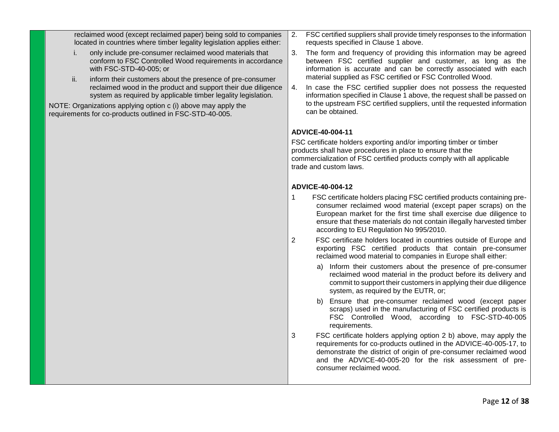reclaimed wood (except reclaimed paper) being sold to companies located in countries where timber legality legislation applies either:

- i. only include pre-consumer reclaimed wood materials that conform to FSC Controlled Wood requirements in accordance with FSC-STD-40-005; or
- ii. inform their customers about the presence of pre-consumer reclaimed wood in the product and support their due diligence system as required by applicable timber legality legislation.

NOTE: Organizations applying option c (i) above may apply the requirements for co-products outlined in FSC-STD-40-005.

- 2. FSC certified suppliers shall provide timely responses to the information requests specified in Clause 1 above.
- 3. The form and frequency of providing this information may be agreed between FSC certified supplier and customer, as long as the information is accurate and can be correctly associated with each material supplied as FSC certified or FSC Controlled Wood.
- 4. In case the FSC certified supplier does not possess the requested information specified in Clause 1 above, the request shall be passed on to the upstream FSC certified suppliers, until the requested information can be obtained.

## **ADVICE-40-004-11**

FSC certificate holders exporting and/or importing timber or timber products shall have procedures in place to ensure that the commercialization of FSC certified products comply with all applicable trade and custom laws.

## **ADVICE-40-004-12**

- 1 FSC certificate holders placing FSC certified products containing preconsumer reclaimed wood material (except paper scraps) on the European market for the first time shall exercise due diligence to ensure that these materials do not contain illegally harvested timber according to EU Regulation No 995/2010.
- 2 FSC certificate holders located in countries outside of Europe and exporting FSC certified products that contain pre-consumer reclaimed wood material to companies in Europe shall either:
	- a) Inform their customers about the presence of pre-consumer reclaimed wood material in the product before its delivery and commit to support their customers in applying their due diligence system, as required by the EUTR, or;
	- b) Ensure that pre-consumer reclaimed wood (except paper scraps) used in the manufacturing of FSC certified products is FSC Controlled Wood, according to FSC-STD-40-005 requirements.
- 3 FSC certificate holders applying option 2 b) above, may apply the requirements for co-products outlined in the ADVICE-40-005-17, to demonstrate the district of origin of pre-consumer reclaimed wood and the ADVICE-40-005-20 for the risk assessment of preconsumer reclaimed wood.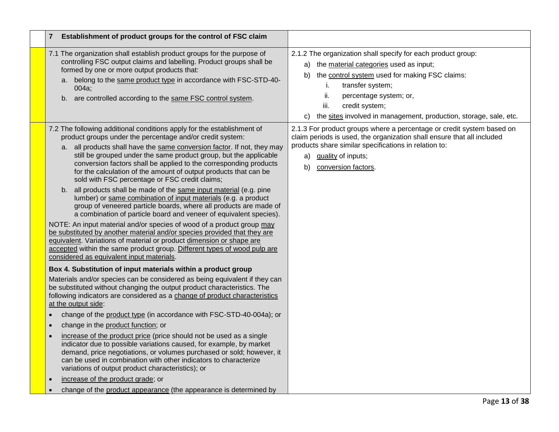| $\overline{7}$<br>Establishment of product groups for the control of FSC claim                                                                                                                                                                                                                                                                                                                                                                                                                                                                                                                                                                                                                                                                                                                                                                                                                                                                                                                                                                                                                                                                                                                                                                                                                                                                                                                                                                                                                                                                                                                                                                                                                                                                                                                                                                                                                                                                                                                                                                                                     |                                                                                                                                                                                                                                                                                                                                   |
|------------------------------------------------------------------------------------------------------------------------------------------------------------------------------------------------------------------------------------------------------------------------------------------------------------------------------------------------------------------------------------------------------------------------------------------------------------------------------------------------------------------------------------------------------------------------------------------------------------------------------------------------------------------------------------------------------------------------------------------------------------------------------------------------------------------------------------------------------------------------------------------------------------------------------------------------------------------------------------------------------------------------------------------------------------------------------------------------------------------------------------------------------------------------------------------------------------------------------------------------------------------------------------------------------------------------------------------------------------------------------------------------------------------------------------------------------------------------------------------------------------------------------------------------------------------------------------------------------------------------------------------------------------------------------------------------------------------------------------------------------------------------------------------------------------------------------------------------------------------------------------------------------------------------------------------------------------------------------------------------------------------------------------------------------------------------------------|-----------------------------------------------------------------------------------------------------------------------------------------------------------------------------------------------------------------------------------------------------------------------------------------------------------------------------------|
| 7.1 The organization shall establish product groups for the purpose of<br>controlling FSC output claims and labelling. Product groups shall be<br>formed by one or more output products that:<br>a. belong to the same product type in accordance with FSC-STD-40-<br>004a;<br>b. are controlled according to the same FSC control system.                                                                                                                                                                                                                                                                                                                                                                                                                                                                                                                                                                                                                                                                                                                                                                                                                                                                                                                                                                                                                                                                                                                                                                                                                                                                                                                                                                                                                                                                                                                                                                                                                                                                                                                                         | 2.1.2 The organization shall specify for each product group:<br>a) the material categories used as input;<br>the control system used for making FSC claims:<br>b)<br>transfer system;<br>i.<br>ii.<br>percentage system; or,<br>iii.<br>credit system;<br>the sites involved in management, production, storage, sale, etc.<br>C) |
| 7.2 The following additional conditions apply for the establishment of<br>product groups under the percentage and/or credit system:<br>a. all products shall have the same conversion factor. If not, they may<br>still be grouped under the same product group, but the applicable<br>conversion factors shall be applied to the corresponding products<br>for the calculation of the amount of output products that can be<br>sold with FSC percentage or FSC credit claims;<br>b. all products shall be made of the same input material (e.g. pine<br>lumber) or same combination of input materials (e.g. a product<br>group of veneered particle boards, where all products are made of<br>a combination of particle board and veneer of equivalent species).<br>NOTE: An input material and/or species of wood of a product group may<br>be substituted by another material and/or species provided that they are<br>equivalent. Variations of material or product dimension or shape are<br>accepted within the same product group. Different types of wood pulp are<br>considered as equivalent input materials.<br>Box 4. Substitution of input materials within a product group<br>Materials and/or species can be considered as being equivalent if they can<br>be substituted without changing the output product characteristics. The<br>following indicators are considered as a change of product characteristics<br>at the output side:<br>change of the product type (in accordance with FSC-STD-40-004a); or<br>$\bullet$<br>change in the product function; or<br>$\bullet$<br>increase of the product price (price should not be used as a single<br>$\bullet$<br>indicator due to possible variations caused, for example, by market<br>demand, price negotiations, or volumes purchased or sold; however, it<br>can be used in combination with other indicators to characterize<br>variations of output product characteristics); or<br>increase of the product grade; or<br>change of the product appearance (the appearance is determined by<br>$\bullet$ | 2.1.3 For product groups where a percentage or credit system based on<br>claim periods is used, the organization shall ensure that all included<br>products share similar specifications in relation to:<br>quality of inputs;<br>a)<br>b)<br>conversion factors.                                                                 |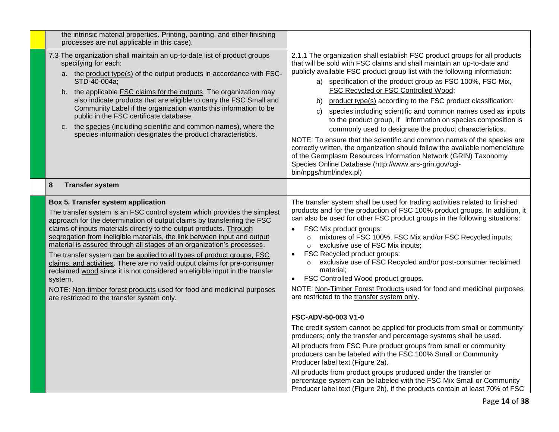| the intrinsic material properties. Printing, painting, and other finishing<br>processes are not applicable in this case).                                                                                                                                                                                                                                                                                                                                                                                                                                                                                                                                                                                                                                                                       |                                                                                                                                                                                                                                                                                                                                                                                                                                                                                                                                                                                                                                                                                                                                                                                                                                                                                                                                    |
|-------------------------------------------------------------------------------------------------------------------------------------------------------------------------------------------------------------------------------------------------------------------------------------------------------------------------------------------------------------------------------------------------------------------------------------------------------------------------------------------------------------------------------------------------------------------------------------------------------------------------------------------------------------------------------------------------------------------------------------------------------------------------------------------------|------------------------------------------------------------------------------------------------------------------------------------------------------------------------------------------------------------------------------------------------------------------------------------------------------------------------------------------------------------------------------------------------------------------------------------------------------------------------------------------------------------------------------------------------------------------------------------------------------------------------------------------------------------------------------------------------------------------------------------------------------------------------------------------------------------------------------------------------------------------------------------------------------------------------------------|
| 7.3 The organization shall maintain an up-to-date list of product groups<br>specifying for each:<br>a. the product type(s) of the output products in accordance with FSC-<br>STD-40-004a;<br>the applicable <b>FSC</b> claims for the outputs. The organization may<br>b.<br>also indicate products that are eligible to carry the FSC Small and<br>Community Label if the organization wants this information to be<br>public in the FSC certificate database;<br>the species (including scientific and common names), where the<br>c.<br>species information designates the product characteristics.                                                                                                                                                                                          | 2.1.1 The organization shall establish FSC product groups for all products<br>that will be sold with FSC claims and shall maintain an up-to-date and<br>publicly available FSC product group list with the following information:<br>a) specification of the product group as FSC 100%, FSC Mix,<br>FSC Recycled or FSC Controlled Wood;<br>product type(s) according to the FSC product classification;<br>b)<br>species including scientific and common names used as inputs<br>C)<br>to the product group, if information on species composition is<br>commonly used to designate the product characteristics.<br>NOTE: To ensure that the scientific and common names of the species are<br>correctly written, the organization should follow the available nomenclature<br>of the Germplasm Resources Information Network (GRIN) Taxonomy<br>Species Online Database (http://www.ars-grin.gov/cgi-<br>bin/npgs/html/index.pl) |
| 8<br><b>Transfer system</b>                                                                                                                                                                                                                                                                                                                                                                                                                                                                                                                                                                                                                                                                                                                                                                     |                                                                                                                                                                                                                                                                                                                                                                                                                                                                                                                                                                                                                                                                                                                                                                                                                                                                                                                                    |
| Box 5. Transfer system application<br>The transfer system is an FSC control system which provides the simplest<br>approach for the determination of output claims by transferring the FSC<br>claims of inputs materials directly to the output products. Through<br>segregation from ineligible materials, the link between input and output<br>material is assured through all stages of an organization's processes.<br>The transfer system can be applied to all types of product groups, FSC<br>claims, and activities. There are no valid output claims for pre-consumer<br>reclaimed wood since it is not considered an eligible input in the transfer<br>system.<br>NOTE: Non-timber forest products used for food and medicinal purposes<br>are restricted to the transfer system only. | The transfer system shall be used for trading activities related to finished<br>products and for the production of FSC 100% product groups. In addition, it<br>can also be used for other FSC product groups in the following situations:<br>FSC Mix product groups:<br>mixtures of FSC 100%, FSC Mix and/or FSC Recycled inputs;<br>$\circ$<br>exclusive use of FSC Mix inputs;<br>$\circ$<br>FSC Recycled product groups:<br>$\bullet$<br>exclusive use of FSC Recycled and/or post-consumer reclaimed<br>$\circ$<br>material;<br>FSC Controlled Wood product groups.<br>$\bullet$<br>NOTE: Non-Timber Forest Products used for food and medicinal purposes<br>are restricted to the transfer system only.                                                                                                                                                                                                                       |
|                                                                                                                                                                                                                                                                                                                                                                                                                                                                                                                                                                                                                                                                                                                                                                                                 | FSC-ADV-50-003 V1-0<br>The credit system cannot be applied for products from small or community                                                                                                                                                                                                                                                                                                                                                                                                                                                                                                                                                                                                                                                                                                                                                                                                                                    |
|                                                                                                                                                                                                                                                                                                                                                                                                                                                                                                                                                                                                                                                                                                                                                                                                 | producers; only the transfer and percentage systems shall be used.                                                                                                                                                                                                                                                                                                                                                                                                                                                                                                                                                                                                                                                                                                                                                                                                                                                                 |
|                                                                                                                                                                                                                                                                                                                                                                                                                                                                                                                                                                                                                                                                                                                                                                                                 | All products from FSC Pure product groups from small or community<br>producers can be labeled with the FSC 100% Small or Community<br>Producer label text (Figure 2a).                                                                                                                                                                                                                                                                                                                                                                                                                                                                                                                                                                                                                                                                                                                                                             |
|                                                                                                                                                                                                                                                                                                                                                                                                                                                                                                                                                                                                                                                                                                                                                                                                 | All products from product groups produced under the transfer or<br>percentage system can be labeled with the FSC Mix Small or Community<br>Producer label text (Figure 2b), if the products contain at least 70% of FSC                                                                                                                                                                                                                                                                                                                                                                                                                                                                                                                                                                                                                                                                                                            |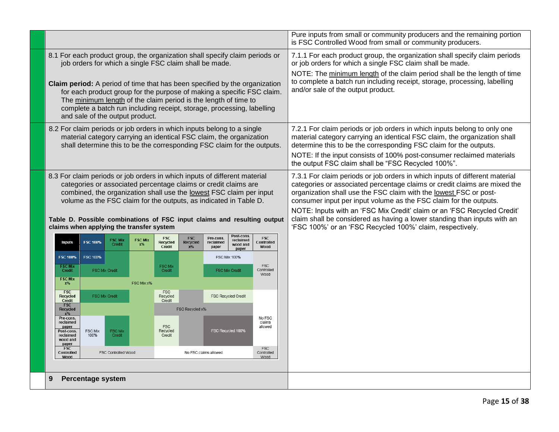|                                                                                                                                                                                                                                                                                                                                                                                                                                                                                      |                          |                                 |                         |                                  |                                 |                                 |                                     | Pure inputs from small or community producers and the remaining portion<br>is FSC Controlled Wood from small or community producers.                                                                                                                                                                                                                                                                                                                                                                                   |  |
|--------------------------------------------------------------------------------------------------------------------------------------------------------------------------------------------------------------------------------------------------------------------------------------------------------------------------------------------------------------------------------------------------------------------------------------------------------------------------------------|--------------------------|---------------------------------|-------------------------|----------------------------------|---------------------------------|---------------------------------|-------------------------------------|------------------------------------------------------------------------------------------------------------------------------------------------------------------------------------------------------------------------------------------------------------------------------------------------------------------------------------------------------------------------------------------------------------------------------------------------------------------------------------------------------------------------|--|
| 8.1 For each product group, the organization shall specify claim periods or<br>job orders for which a single FSC claim shall be made.<br><b>Claim period:</b> A period of time that has been specified by the organization<br>for each product group for the purpose of making a specific FSC claim.<br>The minimum length of the claim period is the length of time to<br>complete a batch run including receipt, storage, processing, labelling<br>and sale of the output product. |                          |                                 |                         |                                  |                                 |                                 |                                     | 7.1.1 For each product group, the organization shall specify claim periods<br>or job orders for which a single FSC claim shall be made.<br>NOTE: The minimum length of the claim period shall be the length of time<br>to complete a batch run including receipt, storage, processing, labelling<br>and/or sale of the output product.                                                                                                                                                                                 |  |
| 8.2 For claim periods or job orders in which inputs belong to a single<br>material category carrying an identical FSC claim, the organization<br>shall determine this to be the corresponding FSC claim for the outputs.                                                                                                                                                                                                                                                             |                          |                                 |                         |                                  |                                 |                                 |                                     | 7.2.1 For claim periods or job orders in which inputs belong to only one<br>material category carrying an identical FSC claim, the organization shall<br>determine this to be the corresponding FSC claim for the outputs.<br>NOTE: If the input consists of 100% post-consumer reclaimed materials<br>the output FSC claim shall be "FSC Recycled 100%".                                                                                                                                                              |  |
| 8.3 For claim periods or job orders in which inputs of different material<br>categories or associated percentage claims or credit claims are<br>combined, the organization shall use the lowest FSC claim per input<br>volume as the FSC claim for the outputs, as indicated in Table D.<br>Table D. Possible combinations of FSC input claims and resulting output<br>claims when applying the transfer system                                                                      |                          |                                 |                         |                                  |                                 |                                 |                                     | 7.3.1 For claim periods or job orders in which inputs of different material<br>categories or associated percentage claims or credit claims are mixed the<br>organization shall use the FSC claim with the lowest FSC or post-<br>consumer input per input volume as the FSC claim for the outputs.<br>NOTE: Inputs with an 'FSC Mix Credit' claim or an 'FSC Recycled Credit'<br>claim shall be considered as having a lower standing than inputs with an<br>'FSC 100%' or an 'FSC Recycled 100%' claim, respectively. |  |
| <b>Inputs</b>                                                                                                                                                                                                                                                                                                                                                                                                                                                                        | <b>FSC 100%</b>          | <b>FSC Mix</b><br><b>Credit</b> | <b>FSC Mix</b><br>$x\%$ | <b>FSC</b><br>Recycled<br>Credit | <b>FSC</b><br>Recycled<br>$x\%$ | Pre-cons.<br>reclaimed<br>paper | Post-cons.<br>reclaimed<br>wood and | <b>FSC</b><br>Controlled<br>Wood                                                                                                                                                                                                                                                                                                                                                                                                                                                                                       |  |
| <b>FSC 100%</b>                                                                                                                                                                                                                                                                                                                                                                                                                                                                      | FSC 100%                 |                                 |                         |                                  |                                 |                                 | paper<br><b>FSC Mix 100%</b>        |                                                                                                                                                                                                                                                                                                                                                                                                                                                                                                                        |  |
| <b>FSC Mix</b><br>Credit                                                                                                                                                                                                                                                                                                                                                                                                                                                             | <b>FSC Mix Credit</b>    |                                 |                         | <b>FSC Mix</b><br>Credit         |                                 |                                 | FSC Mix Credit                      | <b>FSC</b><br>Controlled<br>Wood                                                                                                                                                                                                                                                                                                                                                                                                                                                                                       |  |
| <b>FSC Mix</b><br>$x\%$                                                                                                                                                                                                                                                                                                                                                                                                                                                              |                          |                                 | FSC Mix x%              |                                  |                                 |                                 |                                     |                                                                                                                                                                                                                                                                                                                                                                                                                                                                                                                        |  |
| <b>FSC</b><br>Recycled<br>Credit                                                                                                                                                                                                                                                                                                                                                                                                                                                     | <b>FSC Mix Credit</b>    |                                 |                         | <b>FSC</b><br>Recycled<br>Credit |                                 |                                 | <b>FSC Recycled Credit</b>          |                                                                                                                                                                                                                                                                                                                                                                                                                                                                                                                        |  |
| <b>FSC</b><br>Recycled<br>FSC Recycled x%<br>$x\%$                                                                                                                                                                                                                                                                                                                                                                                                                                   |                          |                                 |                         |                                  |                                 |                                 |                                     |                                                                                                                                                                                                                                                                                                                                                                                                                                                                                                                        |  |
| Pre-cons.<br>reclaimed<br>paper<br>Post-cons.<br>reclaimed<br>wood and<br>paper                                                                                                                                                                                                                                                                                                                                                                                                      | FSC Mix<br>100%          | <b>FSC Mix</b><br>Credit        |                         | <b>FSC</b><br>Recycled<br>Credit |                                 |                                 | FSC Recycled 100%                   | No FSC<br>claims<br>allowed                                                                                                                                                                                                                                                                                                                                                                                                                                                                                            |  |
| FSC<br>FSC<br>Controlled<br>FSC Controlled Wood<br>No FSC claims allowed<br>Controlled<br>Wood<br>Wood                                                                                                                                                                                                                                                                                                                                                                               |                          |                                 |                         |                                  |                                 |                                 |                                     |                                                                                                                                                                                                                                                                                                                                                                                                                                                                                                                        |  |
|                                                                                                                                                                                                                                                                                                                                                                                                                                                                                      |                          |                                 |                         |                                  |                                 |                                 |                                     |                                                                                                                                                                                                                                                                                                                                                                                                                                                                                                                        |  |
|                                                                                                                                                                                                                                                                                                                                                                                                                                                                                      | <b>Percentage system</b> |                                 |                         |                                  |                                 |                                 |                                     |                                                                                                                                                                                                                                                                                                                                                                                                                                                                                                                        |  |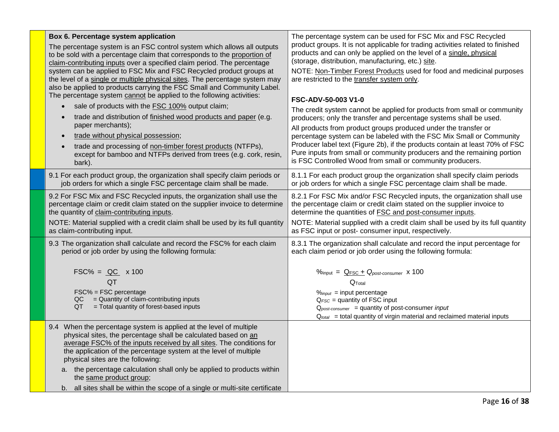| Box 6. Percentage system application<br>The percentage system is an FSC control system which allows all outputs<br>to be sold with a percentage claim that corresponds to the proportion of<br>claim-contributing inputs over a specified claim period. The percentage<br>system can be applied to FSC Mix and FSC Recycled product groups at<br>the level of a single or multiple physical sites. The percentage system may<br>also be applied to products carrying the FSC Small and Community Label.<br>The percentage system cannot be applied to the following activities:<br>sale of products with the FSC 100% output claim;<br>trade and distribution of finished wood products and paper (e.g.<br>$\bullet$<br>paper merchants);<br>trade without physical possession;<br>$\bullet$<br>trade and processing of non-timber forest products (NTFPs),<br>$\bullet$<br>except for bamboo and NTFPs derived from trees (e.g. cork, resin,<br>bark). | The percentage system can be used for FSC Mix and FSC Recycled<br>product groups. It is not applicable for trading activities related to finished<br>products and can only be applied on the level of a single, physical<br>(storage, distribution, manufacturing, etc.) site.<br>NOTE: Non-Timber Forest Products used for food and medicinal purposes<br>are restricted to the transfer system only.<br><b>FSC-ADV-50-003 V1-0</b><br>The credit system cannot be applied for products from small or community<br>producers; only the transfer and percentage systems shall be used.<br>All products from product groups produced under the transfer or<br>percentage system can be labeled with the FSC Mix Small or Community<br>Producer label text (Figure 2b), if the products contain at least 70% of FSC<br>Pure inputs from small or community producers and the remaining portion<br>is FSC Controlled Wood from small or community producers. |
|---------------------------------------------------------------------------------------------------------------------------------------------------------------------------------------------------------------------------------------------------------------------------------------------------------------------------------------------------------------------------------------------------------------------------------------------------------------------------------------------------------------------------------------------------------------------------------------------------------------------------------------------------------------------------------------------------------------------------------------------------------------------------------------------------------------------------------------------------------------------------------------------------------------------------------------------------------|-----------------------------------------------------------------------------------------------------------------------------------------------------------------------------------------------------------------------------------------------------------------------------------------------------------------------------------------------------------------------------------------------------------------------------------------------------------------------------------------------------------------------------------------------------------------------------------------------------------------------------------------------------------------------------------------------------------------------------------------------------------------------------------------------------------------------------------------------------------------------------------------------------------------------------------------------------------|
| 9.1 For each product group, the organization shall specify claim periods or                                                                                                                                                                                                                                                                                                                                                                                                                                                                                                                                                                                                                                                                                                                                                                                                                                                                             | 8.1.1 For each product group the organization shall specify claim periods                                                                                                                                                                                                                                                                                                                                                                                                                                                                                                                                                                                                                                                                                                                                                                                                                                                                                 |
| job orders for which a single FSC percentage claim shall be made.                                                                                                                                                                                                                                                                                                                                                                                                                                                                                                                                                                                                                                                                                                                                                                                                                                                                                       | or job orders for which a single FSC percentage claim shall be made.                                                                                                                                                                                                                                                                                                                                                                                                                                                                                                                                                                                                                                                                                                                                                                                                                                                                                      |
| 9.2 For FSC Mix and FSC Recycled inputs, the organization shall use the                                                                                                                                                                                                                                                                                                                                                                                                                                                                                                                                                                                                                                                                                                                                                                                                                                                                                 | 8.2.1 For FSC Mix and/or FSC Recycled inputs, the organization shall use                                                                                                                                                                                                                                                                                                                                                                                                                                                                                                                                                                                                                                                                                                                                                                                                                                                                                  |
| percentage claim or credit claim stated on the supplier invoice to determine                                                                                                                                                                                                                                                                                                                                                                                                                                                                                                                                                                                                                                                                                                                                                                                                                                                                            | the percentage claim or credit claim stated on the supplier invoice to                                                                                                                                                                                                                                                                                                                                                                                                                                                                                                                                                                                                                                                                                                                                                                                                                                                                                    |
| the quantity of claim-contributing inputs.                                                                                                                                                                                                                                                                                                                                                                                                                                                                                                                                                                                                                                                                                                                                                                                                                                                                                                              | determine the quantities of FSC and post-consumer inputs.                                                                                                                                                                                                                                                                                                                                                                                                                                                                                                                                                                                                                                                                                                                                                                                                                                                                                                 |
| NOTE: Material supplied with a credit claim shall be used by its full quantity                                                                                                                                                                                                                                                                                                                                                                                                                                                                                                                                                                                                                                                                                                                                                                                                                                                                          | NOTE: Material supplied with a credit claim shall be used by its full quantity                                                                                                                                                                                                                                                                                                                                                                                                                                                                                                                                                                                                                                                                                                                                                                                                                                                                            |
| as claim-contributing input.                                                                                                                                                                                                                                                                                                                                                                                                                                                                                                                                                                                                                                                                                                                                                                                                                                                                                                                            | as FSC input or post-consumer input, respectively.                                                                                                                                                                                                                                                                                                                                                                                                                                                                                                                                                                                                                                                                                                                                                                                                                                                                                                        |
| 9.3 The organization shall calculate and record the FSC% for each claim                                                                                                                                                                                                                                                                                                                                                                                                                                                                                                                                                                                                                                                                                                                                                                                                                                                                                 | 8.3.1 The organization shall calculate and record the input percentage for                                                                                                                                                                                                                                                                                                                                                                                                                                                                                                                                                                                                                                                                                                                                                                                                                                                                                |
| period or job order by using the following formula:                                                                                                                                                                                                                                                                                                                                                                                                                                                                                                                                                                                                                                                                                                                                                                                                                                                                                                     | each claim period or job order using the following formula:                                                                                                                                                                                                                                                                                                                                                                                                                                                                                                                                                                                                                                                                                                                                                                                                                                                                                               |
| $FSC\% = QC \times 100$<br>QT<br>FSC% = FSC percentage<br>= Quantity of claim-contributing inputs<br>QC.<br>QT<br>= Total quantity of forest-based inputs                                                                                                                                                                                                                                                                                                                                                                                                                                                                                                                                                                                                                                                                                                                                                                                               | $\%$ input = $Q_{FSC} + Q_{post-consumer} \times 100$<br>Q <sub>Total</sub><br>$\%$ input = input percentage<br>$Q_{FSC}$ = quantity of FSC input<br>$Q_{post-consumer}$ = quantity of post-consumer input<br>$Q_{total}$ = total quantity of virgin material and reclaimed material inputs                                                                                                                                                                                                                                                                                                                                                                                                                                                                                                                                                                                                                                                               |
| 9.4 When the percentage system is applied at the level of multiple<br>physical sites, the percentage shall be calculated based on an<br>average FSC% of the inputs received by all sites. The conditions for<br>the application of the percentage system at the level of multiple<br>physical sites are the following:<br>a. the percentage calculation shall only be applied to products within<br>the same product group;<br>b. all sites shall be within the scope of a single or multi-site certificate                                                                                                                                                                                                                                                                                                                                                                                                                                             |                                                                                                                                                                                                                                                                                                                                                                                                                                                                                                                                                                                                                                                                                                                                                                                                                                                                                                                                                           |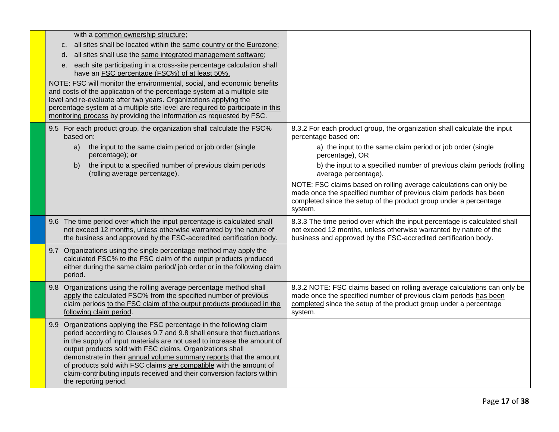| with a common ownership structure;                                                                                                                                                                                                                                                                                                                                                                                                                                                                                                                    |                                                                                                                                                                                                                               |
|-------------------------------------------------------------------------------------------------------------------------------------------------------------------------------------------------------------------------------------------------------------------------------------------------------------------------------------------------------------------------------------------------------------------------------------------------------------------------------------------------------------------------------------------------------|-------------------------------------------------------------------------------------------------------------------------------------------------------------------------------------------------------------------------------|
| c. all sites shall be located within the same country or the Eurozone;                                                                                                                                                                                                                                                                                                                                                                                                                                                                                |                                                                                                                                                                                                                               |
| all sites shall use the same integrated management software;<br>d.                                                                                                                                                                                                                                                                                                                                                                                                                                                                                    |                                                                                                                                                                                                                               |
| each site participating in a cross-site percentage calculation shall<br>е.<br>have an FSC percentage (FSC%) of at least 50%.                                                                                                                                                                                                                                                                                                                                                                                                                          |                                                                                                                                                                                                                               |
| NOTE: FSC will monitor the environmental, social, and economic benefits<br>and costs of the application of the percentage system at a multiple site<br>level and re-evaluate after two years. Organizations applying the<br>percentage system at a multiple site level are required to participate in this<br>monitoring process by providing the information as requested by FSC.                                                                                                                                                                    |                                                                                                                                                                                                                               |
| 9.5 For each product group, the organization shall calculate the FSC%<br>based on:                                                                                                                                                                                                                                                                                                                                                                                                                                                                    | 8.3.2 For each product group, the organization shall calculate the input<br>percentage based on:                                                                                                                              |
| the input to the same claim period or job order (single<br>a)<br>percentage); or                                                                                                                                                                                                                                                                                                                                                                                                                                                                      | a) the input to the same claim period or job order (single<br>percentage), OR                                                                                                                                                 |
| the input to a specified number of previous claim periods<br>b)<br>(rolling average percentage).                                                                                                                                                                                                                                                                                                                                                                                                                                                      | b) the input to a specified number of previous claim periods (rolling<br>average percentage).                                                                                                                                 |
|                                                                                                                                                                                                                                                                                                                                                                                                                                                                                                                                                       | NOTE: FSC claims based on rolling average calculations can only be<br>made once the specified number of previous claim periods has been<br>completed since the setup of the product group under a percentage<br>system.       |
| 9.6 The time period over which the input percentage is calculated shall<br>not exceed 12 months, unless otherwise warranted by the nature of<br>the business and approved by the FSC-accredited certification body.                                                                                                                                                                                                                                                                                                                                   | 8.3.3 The time period over which the input percentage is calculated shall<br>not exceed 12 months, unless otherwise warranted by nature of the<br>business and approved by the FSC-accredited certification body.             |
| 9.7 Organizations using the single percentage method may apply the<br>calculated FSC% to the FSC claim of the output products produced<br>either during the same claim period/ job order or in the following claim<br>period.                                                                                                                                                                                                                                                                                                                         |                                                                                                                                                                                                                               |
| 9.8 Organizations using the rolling average percentage method shall<br>apply the calculated FSC% from the specified number of previous<br>claim periods to the FSC claim of the output products produced in the<br>following claim period.                                                                                                                                                                                                                                                                                                            | 8.3.2 NOTE: FSC claims based on rolling average calculations can only be<br>made once the specified number of previous claim periods has been<br>completed since the setup of the product group under a percentage<br>system. |
| Organizations applying the FSC percentage in the following claim<br>9.9 <sub>1</sub><br>period according to Clauses 9.7 and 9.8 shall ensure that fluctuations<br>in the supply of input materials are not used to increase the amount of<br>output products sold with FSC claims. Organizations shall<br>demonstrate in their annual volume summary reports that the amount<br>of products sold with FSC claims are compatible with the amount of<br>claim-contributing inputs received and their conversion factors within<br>the reporting period. |                                                                                                                                                                                                                               |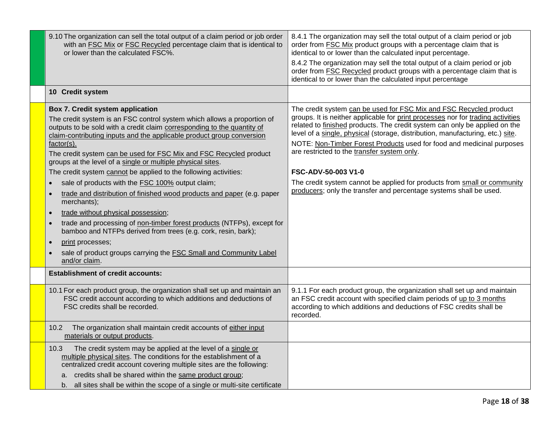| 9.10 The organization can sell the total output of a claim period or job order<br>with an FSC Mix or FSC Recycled percentage claim that is identical to<br>or lower than the calculated FSC%.                                                                                                                                                                                                                                                                                                                                                                                                                                                                                                                                                                                                                                                                                                                                              | 8.4.1 The organization may sell the total output of a claim period or job<br>order from <b>FSC Mix</b> product groups with a percentage claim that is<br>identical to or lower than the calculated input percentage.                                                                                                                                                                                                                                                                                                                                                                                                   |
|--------------------------------------------------------------------------------------------------------------------------------------------------------------------------------------------------------------------------------------------------------------------------------------------------------------------------------------------------------------------------------------------------------------------------------------------------------------------------------------------------------------------------------------------------------------------------------------------------------------------------------------------------------------------------------------------------------------------------------------------------------------------------------------------------------------------------------------------------------------------------------------------------------------------------------------------|------------------------------------------------------------------------------------------------------------------------------------------------------------------------------------------------------------------------------------------------------------------------------------------------------------------------------------------------------------------------------------------------------------------------------------------------------------------------------------------------------------------------------------------------------------------------------------------------------------------------|
|                                                                                                                                                                                                                                                                                                                                                                                                                                                                                                                                                                                                                                                                                                                                                                                                                                                                                                                                            | 8.4.2 The organization may sell the total output of a claim period or job<br>order from FSC Recycled product groups with a percentage claim that is<br>identical to or lower than the calculated input percentage                                                                                                                                                                                                                                                                                                                                                                                                      |
| 10 Credit system                                                                                                                                                                                                                                                                                                                                                                                                                                                                                                                                                                                                                                                                                                                                                                                                                                                                                                                           |                                                                                                                                                                                                                                                                                                                                                                                                                                                                                                                                                                                                                        |
| Box 7. Credit system application<br>The credit system is an FSC control system which allows a proportion of<br>outputs to be sold with a credit claim corresponding to the quantity of<br>claim-contributing inputs and the applicable product group conversion<br>$factor(s)$ .<br>The credit system can be used for FSC Mix and FSC Recycled product<br>groups at the level of a single or multiple physical sites.<br>The credit system cannot be applied to the following activities:<br>sale of products with the FSC 100% output claim;<br>trade and distribution of finished wood products and paper (e.g. paper<br>merchants);<br>trade without physical possession;<br>$\bullet$<br>trade and processing of non-timber forest products (NTFPs), except for<br>bamboo and NTFPs derived from trees (e.g. cork, resin, bark);<br>print processes;<br>$\bullet$<br>sale of product groups carrying the FSC Small and Community Label | The credit system can be used for FSC Mix and FSC Recycled product<br>groups. It is neither applicable for print processes nor for trading activities<br>related to finished products. The credit system can only be applied on the<br>level of a single, physical (storage, distribution, manufacturing, etc.) site.<br>NOTE: Non-Timber Forest Products used for food and medicinal purposes<br>are restricted to the transfer system only.<br>FSC-ADV-50-003 V1-0<br>The credit system cannot be applied for products from small or community<br>producers; only the transfer and percentage systems shall be used. |
| and/or claim.<br><b>Establishment of credit accounts:</b>                                                                                                                                                                                                                                                                                                                                                                                                                                                                                                                                                                                                                                                                                                                                                                                                                                                                                  |                                                                                                                                                                                                                                                                                                                                                                                                                                                                                                                                                                                                                        |
|                                                                                                                                                                                                                                                                                                                                                                                                                                                                                                                                                                                                                                                                                                                                                                                                                                                                                                                                            |                                                                                                                                                                                                                                                                                                                                                                                                                                                                                                                                                                                                                        |
| 10.1 For each product group, the organization shall set up and maintain an<br>FSC credit account according to which additions and deductions of<br>FSC credits shall be recorded.                                                                                                                                                                                                                                                                                                                                                                                                                                                                                                                                                                                                                                                                                                                                                          | 9.1.1 For each product group, the organization shall set up and maintain<br>an FSC credit account with specified claim periods of up to 3 months<br>according to which additions and deductions of FSC credits shall be<br>recorded.                                                                                                                                                                                                                                                                                                                                                                                   |
| The organization shall maintain credit accounts of either input<br>10.2<br>materials or output products.                                                                                                                                                                                                                                                                                                                                                                                                                                                                                                                                                                                                                                                                                                                                                                                                                                   |                                                                                                                                                                                                                                                                                                                                                                                                                                                                                                                                                                                                                        |
| 10.3<br>The credit system may be applied at the level of a single or<br>multiple physical sites. The conditions for the establishment of a<br>centralized credit account covering multiple sites are the following:                                                                                                                                                                                                                                                                                                                                                                                                                                                                                                                                                                                                                                                                                                                        |                                                                                                                                                                                                                                                                                                                                                                                                                                                                                                                                                                                                                        |
| a. credits shall be shared within the same product group;<br>b. all sites shall be within the scope of a single or multi-site certificate                                                                                                                                                                                                                                                                                                                                                                                                                                                                                                                                                                                                                                                                                                                                                                                                  |                                                                                                                                                                                                                                                                                                                                                                                                                                                                                                                                                                                                                        |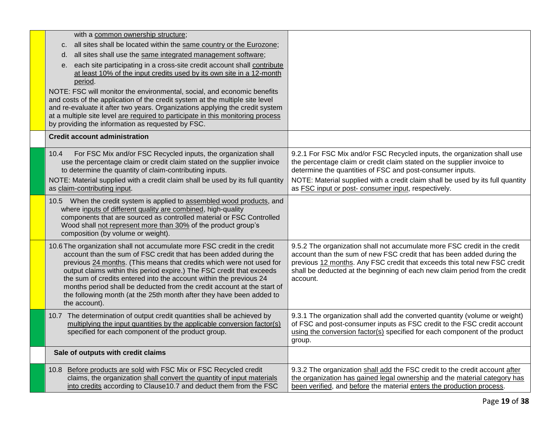| with a common ownership structure;                                                                                                                 |                                                                                                                                                       |
|----------------------------------------------------------------------------------------------------------------------------------------------------|-------------------------------------------------------------------------------------------------------------------------------------------------------|
| all sites shall be located within the same country or the Eurozone;<br>C.                                                                          |                                                                                                                                                       |
| all sites shall use the same integrated management software;<br>d.                                                                                 |                                                                                                                                                       |
| each site participating in a cross-site credit account shall contribute<br>е.                                                                      |                                                                                                                                                       |
| at least 10% of the input credits used by its own site in a 12-month<br>period.                                                                    |                                                                                                                                                       |
| NOTE: FSC will monitor the environmental, social, and economic benefits                                                                            |                                                                                                                                                       |
| and costs of the application of the credit system at the multiple site level                                                                       |                                                                                                                                                       |
| and re-evaluate it after two years. Organizations applying the credit system                                                                       |                                                                                                                                                       |
| at a multiple site level are required to participate in this monitoring process<br>by providing the information as requested by FSC.               |                                                                                                                                                       |
| <b>Credit account administration</b>                                                                                                               |                                                                                                                                                       |
|                                                                                                                                                    |                                                                                                                                                       |
| For FSC Mix and/or FSC Recycled inputs, the organization shall<br>10.4                                                                             | 9.2.1 For FSC Mix and/or FSC Recycled inputs, the organization shall use                                                                              |
| use the percentage claim or credit claim stated on the supplier invoice<br>to determine the quantity of claim-contributing inputs.                 | the percentage claim or credit claim stated on the supplier invoice to<br>determine the quantities of FSC and post-consumer inputs.                   |
| NOTE: Material supplied with a credit claim shall be used by its full quantity                                                                     | NOTE: Material supplied with a credit claim shall be used by its full quantity                                                                        |
| as claim-contributing input.                                                                                                                       | as FSC input or post- consumer input, respectively.                                                                                                   |
| 10.5 When the credit system is applied to assembled wood products, and                                                                             |                                                                                                                                                       |
| where inputs of different quality are combined, high-quality                                                                                       |                                                                                                                                                       |
| components that are sourced as controlled material or FSC Controlled<br>Wood shall not represent more than 30% of the product group's              |                                                                                                                                                       |
| composition (by volume or weight).                                                                                                                 |                                                                                                                                                       |
| 10.6 The organization shall not accumulate more FSC credit in the credit                                                                           | 9.5.2 The organization shall not accumulate more FSC credit in the credit                                                                             |
| account than the sum of FSC credit that has been added during the                                                                                  | account than the sum of new FSC credit that has been added during the                                                                                 |
| previous 24 months. (This means that credits which were not used for                                                                               | previous 12 months. Any FSC credit that exceeds this total new FSC credit                                                                             |
| output claims within this period expire.) The FSC credit that exceeds<br>the sum of credits entered into the account within the previous 24        | shall be deducted at the beginning of each new claim period from the credit<br>account.                                                               |
| months period shall be deducted from the credit account at the start of                                                                            |                                                                                                                                                       |
| the following month (at the 25th month after they have been added to                                                                               |                                                                                                                                                       |
| the account).                                                                                                                                      |                                                                                                                                                       |
| 10.7 The determination of output credit quantities shall be achieved by<br>multiplying the input quantities by the applicable conversion factor(s) | 9.3.1 The organization shall add the converted quantity (volume or weight)<br>of FSC and post-consumer inputs as FSC credit to the FSC credit account |
| specified for each component of the product group.                                                                                                 | using the conversion factor(s) specified for each component of the product                                                                            |
|                                                                                                                                                    | group.                                                                                                                                                |
| Sale of outputs with credit claims                                                                                                                 |                                                                                                                                                       |
| 10.8 Before products are sold with FSC Mix or FSC Recycled credit                                                                                  | 9.3.2 The organization shall add the FSC credit to the credit account after                                                                           |
| claims, the organization shall convert the quantity of input materials                                                                             | the organization has gained legal ownership and the material category has                                                                             |
| into credits according to Clause10.7 and deduct them from the FSC                                                                                  | been verified, and before the material enters the production process.                                                                                 |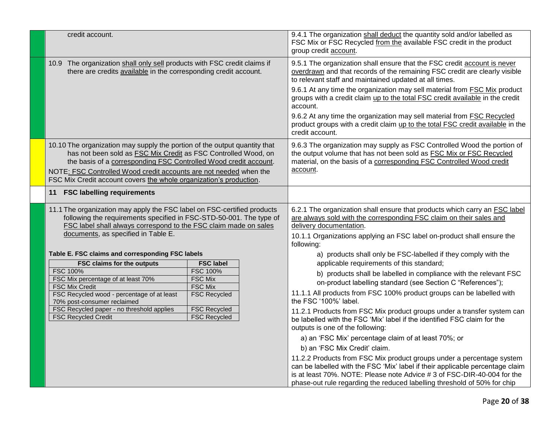| credit account.                                                                                                                                                                                                                                                                                                                                                                                                                                                                 | 9.4.1 The organization shall deduct the quantity sold and/or labelled as<br>FSC Mix or FSC Recycled from the available FSC credit in the product<br>group credit account.                                                                                                                                                                                                                                                                                                                                                                                                                                                                                                                                                                                                                                                                                                                                                                              |
|---------------------------------------------------------------------------------------------------------------------------------------------------------------------------------------------------------------------------------------------------------------------------------------------------------------------------------------------------------------------------------------------------------------------------------------------------------------------------------|--------------------------------------------------------------------------------------------------------------------------------------------------------------------------------------------------------------------------------------------------------------------------------------------------------------------------------------------------------------------------------------------------------------------------------------------------------------------------------------------------------------------------------------------------------------------------------------------------------------------------------------------------------------------------------------------------------------------------------------------------------------------------------------------------------------------------------------------------------------------------------------------------------------------------------------------------------|
| 10.9 The organization shall only sell products with FSC credit claims if<br>there are credits available in the corresponding credit account.                                                                                                                                                                                                                                                                                                                                    | 9.5.1 The organization shall ensure that the FSC credit account is never<br>overdrawn and that records of the remaining FSC credit are clearly visible<br>to relevant staff and maintained updated at all times.                                                                                                                                                                                                                                                                                                                                                                                                                                                                                                                                                                                                                                                                                                                                       |
|                                                                                                                                                                                                                                                                                                                                                                                                                                                                                 | 9.6.1 At any time the organization may sell material from <b>FSC Mix</b> product<br>groups with a credit claim up to the total FSC credit available in the credit<br>account.                                                                                                                                                                                                                                                                                                                                                                                                                                                                                                                                                                                                                                                                                                                                                                          |
|                                                                                                                                                                                                                                                                                                                                                                                                                                                                                 | 9.6.2 At any time the organization may sell material from FSC Recycled<br>product groups with a credit claim up to the total FSC credit available in the<br>credit account.                                                                                                                                                                                                                                                                                                                                                                                                                                                                                                                                                                                                                                                                                                                                                                            |
| 10.10 The organization may supply the portion of the output quantity that<br>has not been sold as FSC Mix Credit as FSC Controlled Wood, on<br>the basis of a corresponding FSC Controlled Wood credit account.<br>NOTE: FSC Controlled Wood credit accounts are not needed when the<br>FSC Mix Credit account covers the whole organization's production.                                                                                                                      | 9.6.3 The organization may supply as FSC Controlled Wood the portion of<br>the output volume that has not been sold as FSC Mix or FSC Recycled<br>material, on the basis of a corresponding FSC Controlled Wood credit<br>account.                                                                                                                                                                                                                                                                                                                                                                                                                                                                                                                                                                                                                                                                                                                     |
| <b>FSC labelling requirements</b><br>11                                                                                                                                                                                                                                                                                                                                                                                                                                         |                                                                                                                                                                                                                                                                                                                                                                                                                                                                                                                                                                                                                                                                                                                                                                                                                                                                                                                                                        |
| 11.1 The organization may apply the FSC label on FSC-certified products<br>following the requirements specified in FSC-STD-50-001. The type of<br>FSC label shall always correspond to the FSC claim made on sales<br>documents, as specified in Table E.                                                                                                                                                                                                                       | 6.2.1 The organization shall ensure that products which carry an FSC label<br>are always sold with the corresponding FSC claim on their sales and<br>delivery documentation.<br>10.1.1 Organizations applying an FSC label on-product shall ensure the<br>following:                                                                                                                                                                                                                                                                                                                                                                                                                                                                                                                                                                                                                                                                                   |
| Table E. FSC claims and corresponding FSC labels<br><b>FSC claims for the outputs</b><br><b>FSC label</b><br><b>FSC 100%</b><br><b>FSC 100%</b><br>FSC Mix percentage of at least 70%<br><b>FSC Mix</b><br><b>FSC Mix Credit</b><br><b>FSC Mix</b><br>FSC Recycled wood - percentage of at least<br><b>FSC Recycled</b><br>70% post-consumer reclaimed<br><b>FSC Recycled</b><br>FSC Recycled paper - no threshold applies<br><b>FSC Recycled Credit</b><br><b>FSC Recycled</b> | a) products shall only be FSC-labelled if they comply with the<br>applicable requirements of this standard;<br>b) products shall be labelled in compliance with the relevant FSC<br>on-product labelling standard (see Section C "References");<br>11.1.1 All products from FSC 100% product groups can be labelled with<br>the FSC '100%' label.<br>11.2.1 Products from FSC Mix product groups under a transfer system can<br>be labelled with the FSC 'Mix' label if the identified FSC claim for the<br>outputs is one of the following:<br>a) an 'FSC Mix' percentage claim of at least 70%; or<br>b) an 'FSC Mix Credit' claim.<br>11.2.2 Products from FSC Mix product groups under a percentage system<br>can be labelled with the FSC 'Mix' label if their applicable percentage claim<br>is at least 70%. NOTE: Please note Advice # 3 of FSC-DIR-40-004 for the<br>phase-out rule regarding the reduced labelling threshold of 50% for chip |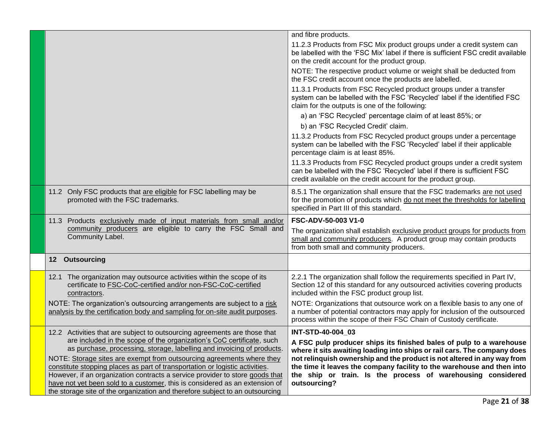|                                                                                                                                                                                                                                                                                                                      | and fibre products.                                                                                                                                                                                                              |  |
|----------------------------------------------------------------------------------------------------------------------------------------------------------------------------------------------------------------------------------------------------------------------------------------------------------------------|----------------------------------------------------------------------------------------------------------------------------------------------------------------------------------------------------------------------------------|--|
|                                                                                                                                                                                                                                                                                                                      | 11.2.3 Products from FSC Mix product groups under a credit system can<br>be labelled with the 'FSC Mix' label if there is sufficient FSC credit available<br>on the credit account for the product group.                        |  |
|                                                                                                                                                                                                                                                                                                                      | NOTE: The respective product volume or weight shall be deducted from<br>the FSC credit account once the products are labelled.                                                                                                   |  |
|                                                                                                                                                                                                                                                                                                                      | 11.3.1 Products from FSC Recycled product groups under a transfer<br>system can be labelled with the FSC 'Recycled' label if the identified FSC<br>claim for the outputs is one of the following:                                |  |
|                                                                                                                                                                                                                                                                                                                      | a) an 'FSC Recycled' percentage claim of at least 85%; or                                                                                                                                                                        |  |
|                                                                                                                                                                                                                                                                                                                      | b) an 'FSC Recycled Credit' claim.                                                                                                                                                                                               |  |
|                                                                                                                                                                                                                                                                                                                      | 11.3.2 Products from FSC Recycled product groups under a percentage<br>system can be labelled with the FSC 'Recycled' label if their applicable<br>percentage claim is at least 85%.                                             |  |
|                                                                                                                                                                                                                                                                                                                      | 11.3.3 Products from FSC Recycled product groups under a credit system<br>can be labelled with the FSC 'Recycled' label if there is sufficient FSC<br>credit available on the credit account for the product group.              |  |
| 11.2 Only FSC products that are eligible for FSC labelling may be<br>promoted with the FSC trademarks.                                                                                                                                                                                                               | 8.5.1 The organization shall ensure that the FSC trademarks are not used<br>for the promotion of products which do not meet the thresholds for labelling<br>specified in Part III of this standard.                              |  |
| 11.3 Products exclusively made of input materials from small and/or                                                                                                                                                                                                                                                  | <b>FSC-ADV-50-003 V1-0</b>                                                                                                                                                                                                       |  |
| community producers are eligible to carry the FSC Small and<br>Community Label.                                                                                                                                                                                                                                      | The organization shall establish exclusive product groups for products from<br>small and community producers. A product group may contain products<br>from both small and community producers.                                   |  |
| 12 Outsourcing                                                                                                                                                                                                                                                                                                       |                                                                                                                                                                                                                                  |  |
| 12.1 The organization may outsource activities within the scope of its<br>certificate to FSC-CoC-certified and/or non-FSC-CoC-certified<br>contractors.                                                                                                                                                              | 2.2.1 The organization shall follow the requirements specified in Part IV,<br>Section 12 of this standard for any outsourced activities covering products<br>included within the FSC product group list.                         |  |
| NOTE: The organization's outsourcing arrangements are subject to a risk<br>analysis by the certification body and sampling for on-site audit purposes.                                                                                                                                                               | NOTE: Organizations that outsource work on a flexible basis to any one of<br>a number of potential contractors may apply for inclusion of the outsourced<br>process within the scope of their FSC Chain of Custody certificate.  |  |
| 12.2 Activities that are subject to outsourcing agreements are those that<br>are included in the scope of the organization's CoC certificate, such                                                                                                                                                                   | INT-STD-40-004 03                                                                                                                                                                                                                |  |
| as purchase, processing, storage, labelling and invoicing of products.                                                                                                                                                                                                                                               | A FSC pulp producer ships its finished bales of pulp to a warehouse<br>where it sits awaiting loading into ships or rail cars. The company does                                                                                  |  |
| NOTE: Storage sites are exempt from outsourcing agreements where they<br>constitute stopping places as part of transportation or logistic activities.<br>However, if an organization contracts a service provider to store goods that<br>have not yet been sold to a customer, this is considered as an extension of | not relinguish ownership and the product is not altered in any way from<br>the time it leaves the company facility to the warehouse and then into<br>the ship or train. Is the process of warehousing considered<br>outsourcing? |  |
| the storage site of the organization and therefore subject to an outsourcing                                                                                                                                                                                                                                         |                                                                                                                                                                                                                                  |  |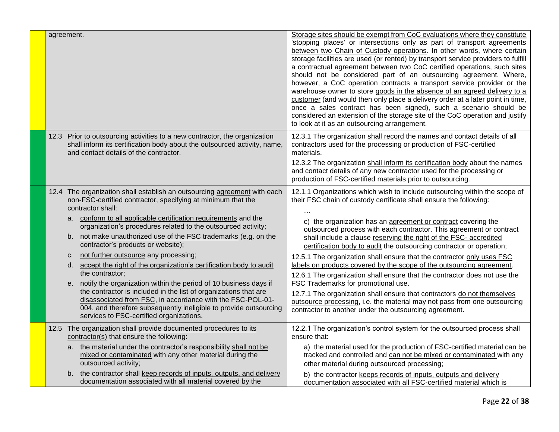| agreement.                                                                                                                                                                                                                                                                                                                                                                                                                                                                                                                                                                                                                                                                                                                                                                                                                                                                            | Storage sites should be exempt from CoC evaluations where they constitute<br>'stopping places' or intersections only as part of transport agreements<br>between two Chain of Custody operations. In other words, where certain<br>storage facilities are used (or rented) by transport service providers to fulfill<br>a contractual agreement between two CoC certified operations, such sites<br>should not be considered part of an outsourcing agreement. Where,<br>however, a CoC operation contracts a transport service provider or the<br>warehouse owner to store goods in the absence of an agreed delivery to a<br>customer (and would then only place a delivery order at a later point in time,<br>once a sales contract has been signed), such a scenario should be<br>considered an extension of the storage site of the CoC operation and justify<br>to look at it as an outsourcing arrangement.              |
|---------------------------------------------------------------------------------------------------------------------------------------------------------------------------------------------------------------------------------------------------------------------------------------------------------------------------------------------------------------------------------------------------------------------------------------------------------------------------------------------------------------------------------------------------------------------------------------------------------------------------------------------------------------------------------------------------------------------------------------------------------------------------------------------------------------------------------------------------------------------------------------|--------------------------------------------------------------------------------------------------------------------------------------------------------------------------------------------------------------------------------------------------------------------------------------------------------------------------------------------------------------------------------------------------------------------------------------------------------------------------------------------------------------------------------------------------------------------------------------------------------------------------------------------------------------------------------------------------------------------------------------------------------------------------------------------------------------------------------------------------------------------------------------------------------------------------------|
| 12.3 Prior to outsourcing activities to a new contractor, the organization<br>shall inform its certification body about the outsourced activity, name,<br>and contact details of the contractor.                                                                                                                                                                                                                                                                                                                                                                                                                                                                                                                                                                                                                                                                                      | 12.3.1 The organization shall record the names and contact details of all<br>contractors used for the processing or production of FSC-certified<br>materials.<br>12.3.2 The organization shall inform its certification body about the names<br>and contact details of any new contractor used for the processing or<br>production of FSC-certified materials prior to outsourcing.                                                                                                                                                                                                                                                                                                                                                                                                                                                                                                                                            |
| 12.4 The organization shall establish an outsourcing agreement with each<br>non-FSC-certified contractor, specifying at minimum that the<br>contractor shall:<br>a. conform to all applicable certification requirements and the<br>organization's procedures related to the outsourced activity;<br>not make unauthorized use of the FSC trademarks (e.g. on the<br>b.<br>contractor's products or website);<br>not further outsource any processing;<br>C.<br>accept the right of the organization's certification body to audit<br>d.<br>the contractor;<br>e. notify the organization within the period of 10 business days if<br>the contractor is included in the list of organizations that are<br>disassociated from FSC, in accordance with the FSC-POL-01-<br>004, and therefore subsequently ineligible to provide outsourcing<br>services to FSC-certified organizations. | 12.1.1 Organizations which wish to include outsourcing within the scope of<br>their FSC chain of custody certificate shall ensure the following:<br>c) the organization has an agreement or contract covering the<br>outsourced process with each contractor. This agreement or contract<br>shall include a clause reserving the right of the FSC- accredited<br>certification body to audit the outsourcing contractor or operation;<br>12.5.1 The organization shall ensure that the contractor only uses FSC<br>labels on products covered by the scope of the outsourcing agreement.<br>12.6.1 The organization shall ensure that the contractor does not use the<br>FSC Trademarks for promotional use.<br>12.7.1 The organization shall ensure that contractors do not themselves<br>outsource processing, i.e. the material may not pass from one outsourcing<br>contractor to another under the outsourcing agreement. |
| 12.5 The organization shall provide documented procedures to its<br>contractor(s) that ensure the following:<br>a. the material under the contractor's responsibility shall not be<br>mixed or contaminated with any other material during the<br>outsourced activity;<br>b. the contractor shall keep records of inputs, outputs, and delivery<br>documentation associated with all material covered by the                                                                                                                                                                                                                                                                                                                                                                                                                                                                          | 12.2.1 The organization's control system for the outsourced process shall<br>ensure that:<br>a) the material used for the production of FSC-certified material can be<br>tracked and controlled and can not be mixed or contaminated with any<br>other material during outsourced processing;<br>b) the contractor keeps records of inputs, outputs and delivery<br>documentation associated with all FSC-certified material which is                                                                                                                                                                                                                                                                                                                                                                                                                                                                                          |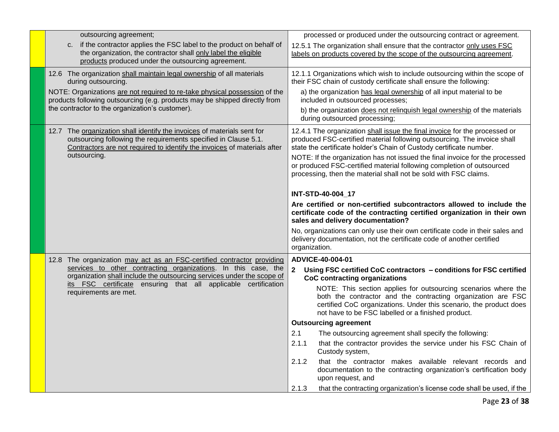| outsourcing agreement;                                                                                                                                                                                                 | processed or produced under the outsourcing contract or agreement.                                                                                                                                                                                         |  |  |
|------------------------------------------------------------------------------------------------------------------------------------------------------------------------------------------------------------------------|------------------------------------------------------------------------------------------------------------------------------------------------------------------------------------------------------------------------------------------------------------|--|--|
| c. if the contractor applies the FSC label to the product on behalf of<br>the organization, the contractor shall only label the eligible<br>products produced under the outsourcing agreement.                         | 12.5.1 The organization shall ensure that the contractor only uses FSC<br>labels on products covered by the scope of the outsourcing agreement.                                                                                                            |  |  |
| 12.6 The organization shall maintain legal ownership of all materials<br>during outsourcing.                                                                                                                           | 12.1.1 Organizations which wish to include outsourcing within the scope of<br>their FSC chain of custody certificate shall ensure the following:                                                                                                           |  |  |
| NOTE: Organizations are not required to re-take physical possession of the<br>products following outsourcing (e.g. products may be shipped directly from                                                               | a) the organization has legal ownership of all input material to be<br>included in outsourced processes;                                                                                                                                                   |  |  |
| the contractor to the organization's customer).                                                                                                                                                                        | b) the organization does not relinquish legal ownership of the materials<br>during outsourced processing;                                                                                                                                                  |  |  |
| 12.7 The organization shall identify the invoices of materials sent for<br>outsourcing following the requirements specified in Clause 5.1.<br>Contractors are not required to identify the invoices of materials after | 12.4.1 The organization shall issue the final invoice for the processed or<br>produced FSC-certified material following outsourcing. The invoice shall<br>state the certificate holder's Chain of Custody certificate number.                              |  |  |
| outsourcing.                                                                                                                                                                                                           | NOTE: If the organization has not issued the final invoice for the processed<br>or produced FSC-certified material following completion of outsourced<br>processing, then the material shall not be sold with FSC claims.                                  |  |  |
|                                                                                                                                                                                                                        | INT-STD-40-004_17                                                                                                                                                                                                                                          |  |  |
|                                                                                                                                                                                                                        | Are certified or non-certified subcontractors allowed to include the<br>certificate code of the contracting certified organization in their own<br>sales and delivery documentation?                                                                       |  |  |
|                                                                                                                                                                                                                        | No, organizations can only use their own certificate code in their sales and<br>delivery documentation, not the certificate code of another certified<br>organization.                                                                                     |  |  |
| 12.8 The organization may act as an FSC-certified contractor providing                                                                                                                                                 | ADVICE-40-004-01                                                                                                                                                                                                                                           |  |  |
| services to other contracting organizations. In this case, the<br>organization shall include the outsourcing services under the scope of                                                                               | $\mathbf{2}$<br>Using FSC certified CoC contractors - conditions for FSC certified<br><b>CoC contracting organizations</b>                                                                                                                                 |  |  |
| its FSC certificate ensuring that all applicable certification<br>requirements are met.                                                                                                                                | NOTE: This section applies for outsourcing scenarios where the<br>both the contractor and the contracting organization are FSC<br>certified CoC organizations. Under this scenario, the product does<br>not have to be FSC labelled or a finished product. |  |  |
|                                                                                                                                                                                                                        | <b>Outsourcing agreement</b>                                                                                                                                                                                                                               |  |  |
|                                                                                                                                                                                                                        | 2.1<br>The outsourcing agreement shall specify the following:                                                                                                                                                                                              |  |  |
|                                                                                                                                                                                                                        | 2.1.1<br>that the contractor provides the service under his FSC Chain of<br>Custody system,                                                                                                                                                                |  |  |
|                                                                                                                                                                                                                        | 2.1.2<br>that the contractor makes available relevant records and<br>documentation to the contracting organization's certification body<br>upon request, and                                                                                               |  |  |
|                                                                                                                                                                                                                        | 2.1.3<br>that the contracting organization's license code shall be used, if the                                                                                                                                                                            |  |  |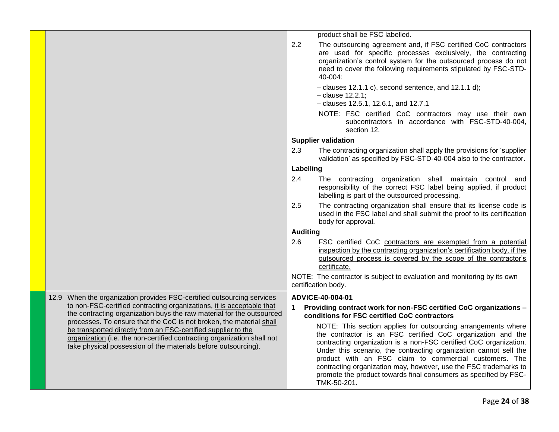|                                                                                                                                                                                                                                                                                   |                 | product shall be FSC labelled.                                                                                                                                                                                                                                                                                                                                                                                                                                                          |
|-----------------------------------------------------------------------------------------------------------------------------------------------------------------------------------------------------------------------------------------------------------------------------------|-----------------|-----------------------------------------------------------------------------------------------------------------------------------------------------------------------------------------------------------------------------------------------------------------------------------------------------------------------------------------------------------------------------------------------------------------------------------------------------------------------------------------|
|                                                                                                                                                                                                                                                                                   | 2.2             | The outsourcing agreement and, if FSC certified CoC contractors<br>are used for specific processes exclusively, the contracting<br>organization's control system for the outsourced process do not<br>need to cover the following requirements stipulated by FSC-STD-<br>40-004:                                                                                                                                                                                                        |
|                                                                                                                                                                                                                                                                                   |                 | $-$ clauses 12.1.1 c), second sentence, and 12.1.1 d);<br>$-$ clause 12.2.1;<br>- clauses 12.5.1, 12.6.1, and 12.7.1                                                                                                                                                                                                                                                                                                                                                                    |
|                                                                                                                                                                                                                                                                                   |                 | NOTE: FSC certified CoC contractors may use their own<br>subcontractors in accordance with FSC-STD-40-004,<br>section 12.                                                                                                                                                                                                                                                                                                                                                               |
|                                                                                                                                                                                                                                                                                   |                 | <b>Supplier validation</b>                                                                                                                                                                                                                                                                                                                                                                                                                                                              |
|                                                                                                                                                                                                                                                                                   | 2.3             | The contracting organization shall apply the provisions for 'supplier<br>validation' as specified by FSC-STD-40-004 also to the contractor.                                                                                                                                                                                                                                                                                                                                             |
|                                                                                                                                                                                                                                                                                   | Labelling       |                                                                                                                                                                                                                                                                                                                                                                                                                                                                                         |
|                                                                                                                                                                                                                                                                                   | 2.4             | The contracting organization shall maintain control and<br>responsibility of the correct FSC label being applied, if product<br>labelling is part of the outsourced processing.                                                                                                                                                                                                                                                                                                         |
|                                                                                                                                                                                                                                                                                   | 2.5             | The contracting organization shall ensure that its license code is<br>used in the FSC label and shall submit the proof to its certification<br>body for approval.                                                                                                                                                                                                                                                                                                                       |
|                                                                                                                                                                                                                                                                                   | <b>Auditing</b> |                                                                                                                                                                                                                                                                                                                                                                                                                                                                                         |
|                                                                                                                                                                                                                                                                                   | 2.6             | FSC certified CoC contractors are exempted from a potential<br>inspection by the contracting organization's certification body, if the<br>outsourced process is covered by the scope of the contractor's<br>certificate.                                                                                                                                                                                                                                                                |
|                                                                                                                                                                                                                                                                                   |                 | NOTE: The contractor is subject to evaluation and monitoring by its own<br>certification body.                                                                                                                                                                                                                                                                                                                                                                                          |
| 12.9 When the organization provides FSC-certified outsourcing services                                                                                                                                                                                                            |                 | ADVICE-40-004-01                                                                                                                                                                                                                                                                                                                                                                                                                                                                        |
| to non-FSC-certified contracting organizations, it is acceptable that<br>the contracting organization buys the raw material for the outsourced                                                                                                                                    | 1               | Providing contract work for non-FSC certified CoC organizations -<br>conditions for FSC certified CoC contractors                                                                                                                                                                                                                                                                                                                                                                       |
| processes. To ensure that the CoC is not broken, the material shall<br>be transported directly from an FSC-certified supplier to the<br>organization (i.e. the non-certified contracting organization shall not<br>take physical possession of the materials before outsourcing). |                 | NOTE: This section applies for outsourcing arrangements where<br>the contractor is an FSC certified CoC organization and the<br>contracting organization is a non-FSC certified CoC organization.<br>Under this scenario, the contracting organization cannot sell the<br>product with an FSC claim to commercial customers. The<br>contracting organization may, however, use the FSC trademarks to<br>promote the product towards final consumers as specified by FSC-<br>TMK-50-201. |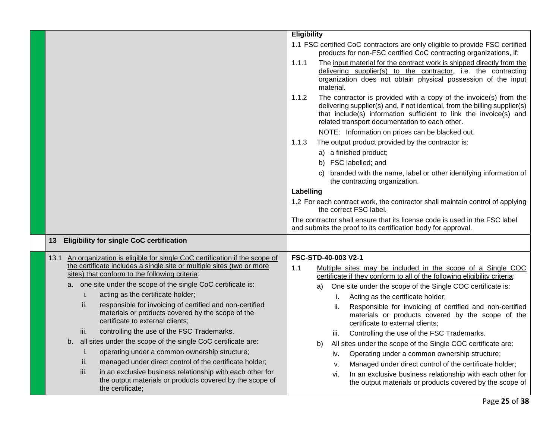| <b>Eligibility</b><br>1.1 FSC certified CoC contractors are only eligible to provide FSC certified<br>products for non-FSC certified CoC contracting organizations, if:<br>1.1.1<br>The input material for the contract work is shipped directly from the<br>delivering supplier(s) to the contractor, i.e. the contracting<br>organization does not obtain physical possession of the input<br>material.<br>The contractor is provided with a copy of the invoice(s) from the<br>1.1.2<br>delivering supplier(s) and, if not identical, from the billing supplier(s)<br>that include(s) information sufficient to link the invoice(s) and<br>related transport documentation to each other.<br>NOTE: Information on prices can be blacked out.<br>The output product provided by the contractor is:<br>1.1.3<br>a) a finished product;<br>b) FSC labelled; and<br>branded with the name, label or other identifying information of<br>the contracting organization.<br>Labelling<br>1.2 For each contract work, the contractor shall maintain control of applying<br>the correct FSC label.<br>The contractor shall ensure that its license code is used in the FSC label<br>and submits the proof to its certification body for approval.<br><b>Eligibility for single CoC certification</b><br>13<br>FSC-STD-40-003 V2-1<br>13.1 An organization is eligible for single CoC certification if the scope of<br>the certificate includes a single site or multiple sites (two or more<br>1.1<br>Multiple sites may be included in the scope of a Single COC<br>sites) that conform to the following criteria:<br>certificate if they conform to all of the following eligibility criteria:<br>a. one site under the scope of the single CoC certificate is:<br>One site under the scope of the Single COC certificate is:<br>a)<br>acting as the certificate holder;<br>i.<br>Acting as the certificate holder;<br>Ť.<br>responsible for invoicing of certified and non-certified<br>ii.<br>Responsible for invoicing of certified and non-certified<br>ii.<br>materials or products covered by the scope of the<br>materials or products covered by the scope of the<br>certificate to external clients;<br>certificate to external clients;<br>controlling the use of the FSC Trademarks.<br>iii.<br>Controlling the use of the FSC Trademarks.<br>Ш.<br>all sites under the scope of the single CoC certificate are:<br>b.<br>b) All sites under the scope of the Single COC certificate are:<br>operating under a common ownership structure;<br>Ι.<br>Operating under a common ownership structure;<br>İV.<br>managed under direct control of the certificate holder;<br>ii.<br>Managed under direct control of the certificate holder;<br>v.<br>in an exclusive business relationship with each other for<br>iii.<br>In an exclusive business relationship with each other for<br>Vİ.<br>the output materials or products covered by the scope of<br>the output materials or products covered by the scope of<br>the certificate; |  |  |
|-----------------------------------------------------------------------------------------------------------------------------------------------------------------------------------------------------------------------------------------------------------------------------------------------------------------------------------------------------------------------------------------------------------------------------------------------------------------------------------------------------------------------------------------------------------------------------------------------------------------------------------------------------------------------------------------------------------------------------------------------------------------------------------------------------------------------------------------------------------------------------------------------------------------------------------------------------------------------------------------------------------------------------------------------------------------------------------------------------------------------------------------------------------------------------------------------------------------------------------------------------------------------------------------------------------------------------------------------------------------------------------------------------------------------------------------------------------------------------------------------------------------------------------------------------------------------------------------------------------------------------------------------------------------------------------------------------------------------------------------------------------------------------------------------------------------------------------------------------------------------------------------------------------------------------------------------------------------------------------------------------------------------------------------------------------------------------------------------------------------------------------------------------------------------------------------------------------------------------------------------------------------------------------------------------------------------------------------------------------------------------------------------------------------------------------------------------------------------------------------------------------------------------------------------------------------------------------------------------------------------------------------------------------------------------------------------------------------------------------------------------------------------------------------------------------------------------------------------------------------------------------------------------------------------------------------------------------------------------------------------------------------------------------------|--|--|
|                                                                                                                                                                                                                                                                                                                                                                                                                                                                                                                                                                                                                                                                                                                                                                                                                                                                                                                                                                                                                                                                                                                                                                                                                                                                                                                                                                                                                                                                                                                                                                                                                                                                                                                                                                                                                                                                                                                                                                                                                                                                                                                                                                                                                                                                                                                                                                                                                                                                                                                                                                                                                                                                                                                                                                                                                                                                                                                                                                                                                                         |  |  |
|                                                                                                                                                                                                                                                                                                                                                                                                                                                                                                                                                                                                                                                                                                                                                                                                                                                                                                                                                                                                                                                                                                                                                                                                                                                                                                                                                                                                                                                                                                                                                                                                                                                                                                                                                                                                                                                                                                                                                                                                                                                                                                                                                                                                                                                                                                                                                                                                                                                                                                                                                                                                                                                                                                                                                                                                                                                                                                                                                                                                                                         |  |  |
|                                                                                                                                                                                                                                                                                                                                                                                                                                                                                                                                                                                                                                                                                                                                                                                                                                                                                                                                                                                                                                                                                                                                                                                                                                                                                                                                                                                                                                                                                                                                                                                                                                                                                                                                                                                                                                                                                                                                                                                                                                                                                                                                                                                                                                                                                                                                                                                                                                                                                                                                                                                                                                                                                                                                                                                                                                                                                                                                                                                                                                         |  |  |
|                                                                                                                                                                                                                                                                                                                                                                                                                                                                                                                                                                                                                                                                                                                                                                                                                                                                                                                                                                                                                                                                                                                                                                                                                                                                                                                                                                                                                                                                                                                                                                                                                                                                                                                                                                                                                                                                                                                                                                                                                                                                                                                                                                                                                                                                                                                                                                                                                                                                                                                                                                                                                                                                                                                                                                                                                                                                                                                                                                                                                                         |  |  |
|                                                                                                                                                                                                                                                                                                                                                                                                                                                                                                                                                                                                                                                                                                                                                                                                                                                                                                                                                                                                                                                                                                                                                                                                                                                                                                                                                                                                                                                                                                                                                                                                                                                                                                                                                                                                                                                                                                                                                                                                                                                                                                                                                                                                                                                                                                                                                                                                                                                                                                                                                                                                                                                                                                                                                                                                                                                                                                                                                                                                                                         |  |  |
|                                                                                                                                                                                                                                                                                                                                                                                                                                                                                                                                                                                                                                                                                                                                                                                                                                                                                                                                                                                                                                                                                                                                                                                                                                                                                                                                                                                                                                                                                                                                                                                                                                                                                                                                                                                                                                                                                                                                                                                                                                                                                                                                                                                                                                                                                                                                                                                                                                                                                                                                                                                                                                                                                                                                                                                                                                                                                                                                                                                                                                         |  |  |
|                                                                                                                                                                                                                                                                                                                                                                                                                                                                                                                                                                                                                                                                                                                                                                                                                                                                                                                                                                                                                                                                                                                                                                                                                                                                                                                                                                                                                                                                                                                                                                                                                                                                                                                                                                                                                                                                                                                                                                                                                                                                                                                                                                                                                                                                                                                                                                                                                                                                                                                                                                                                                                                                                                                                                                                                                                                                                                                                                                                                                                         |  |  |
|                                                                                                                                                                                                                                                                                                                                                                                                                                                                                                                                                                                                                                                                                                                                                                                                                                                                                                                                                                                                                                                                                                                                                                                                                                                                                                                                                                                                                                                                                                                                                                                                                                                                                                                                                                                                                                                                                                                                                                                                                                                                                                                                                                                                                                                                                                                                                                                                                                                                                                                                                                                                                                                                                                                                                                                                                                                                                                                                                                                                                                         |  |  |
|                                                                                                                                                                                                                                                                                                                                                                                                                                                                                                                                                                                                                                                                                                                                                                                                                                                                                                                                                                                                                                                                                                                                                                                                                                                                                                                                                                                                                                                                                                                                                                                                                                                                                                                                                                                                                                                                                                                                                                                                                                                                                                                                                                                                                                                                                                                                                                                                                                                                                                                                                                                                                                                                                                                                                                                                                                                                                                                                                                                                                                         |  |  |
|                                                                                                                                                                                                                                                                                                                                                                                                                                                                                                                                                                                                                                                                                                                                                                                                                                                                                                                                                                                                                                                                                                                                                                                                                                                                                                                                                                                                                                                                                                                                                                                                                                                                                                                                                                                                                                                                                                                                                                                                                                                                                                                                                                                                                                                                                                                                                                                                                                                                                                                                                                                                                                                                                                                                                                                                                                                                                                                                                                                                                                         |  |  |
|                                                                                                                                                                                                                                                                                                                                                                                                                                                                                                                                                                                                                                                                                                                                                                                                                                                                                                                                                                                                                                                                                                                                                                                                                                                                                                                                                                                                                                                                                                                                                                                                                                                                                                                                                                                                                                                                                                                                                                                                                                                                                                                                                                                                                                                                                                                                                                                                                                                                                                                                                                                                                                                                                                                                                                                                                                                                                                                                                                                                                                         |  |  |
|                                                                                                                                                                                                                                                                                                                                                                                                                                                                                                                                                                                                                                                                                                                                                                                                                                                                                                                                                                                                                                                                                                                                                                                                                                                                                                                                                                                                                                                                                                                                                                                                                                                                                                                                                                                                                                                                                                                                                                                                                                                                                                                                                                                                                                                                                                                                                                                                                                                                                                                                                                                                                                                                                                                                                                                                                                                                                                                                                                                                                                         |  |  |
|                                                                                                                                                                                                                                                                                                                                                                                                                                                                                                                                                                                                                                                                                                                                                                                                                                                                                                                                                                                                                                                                                                                                                                                                                                                                                                                                                                                                                                                                                                                                                                                                                                                                                                                                                                                                                                                                                                                                                                                                                                                                                                                                                                                                                                                                                                                                                                                                                                                                                                                                                                                                                                                                                                                                                                                                                                                                                                                                                                                                                                         |  |  |
|                                                                                                                                                                                                                                                                                                                                                                                                                                                                                                                                                                                                                                                                                                                                                                                                                                                                                                                                                                                                                                                                                                                                                                                                                                                                                                                                                                                                                                                                                                                                                                                                                                                                                                                                                                                                                                                                                                                                                                                                                                                                                                                                                                                                                                                                                                                                                                                                                                                                                                                                                                                                                                                                                                                                                                                                                                                                                                                                                                                                                                         |  |  |
|                                                                                                                                                                                                                                                                                                                                                                                                                                                                                                                                                                                                                                                                                                                                                                                                                                                                                                                                                                                                                                                                                                                                                                                                                                                                                                                                                                                                                                                                                                                                                                                                                                                                                                                                                                                                                                                                                                                                                                                                                                                                                                                                                                                                                                                                                                                                                                                                                                                                                                                                                                                                                                                                                                                                                                                                                                                                                                                                                                                                                                         |  |  |
|                                                                                                                                                                                                                                                                                                                                                                                                                                                                                                                                                                                                                                                                                                                                                                                                                                                                                                                                                                                                                                                                                                                                                                                                                                                                                                                                                                                                                                                                                                                                                                                                                                                                                                                                                                                                                                                                                                                                                                                                                                                                                                                                                                                                                                                                                                                                                                                                                                                                                                                                                                                                                                                                                                                                                                                                                                                                                                                                                                                                                                         |  |  |
|                                                                                                                                                                                                                                                                                                                                                                                                                                                                                                                                                                                                                                                                                                                                                                                                                                                                                                                                                                                                                                                                                                                                                                                                                                                                                                                                                                                                                                                                                                                                                                                                                                                                                                                                                                                                                                                                                                                                                                                                                                                                                                                                                                                                                                                                                                                                                                                                                                                                                                                                                                                                                                                                                                                                                                                                                                                                                                                                                                                                                                         |  |  |
|                                                                                                                                                                                                                                                                                                                                                                                                                                                                                                                                                                                                                                                                                                                                                                                                                                                                                                                                                                                                                                                                                                                                                                                                                                                                                                                                                                                                                                                                                                                                                                                                                                                                                                                                                                                                                                                                                                                                                                                                                                                                                                                                                                                                                                                                                                                                                                                                                                                                                                                                                                                                                                                                                                                                                                                                                                                                                                                                                                                                                                         |  |  |
|                                                                                                                                                                                                                                                                                                                                                                                                                                                                                                                                                                                                                                                                                                                                                                                                                                                                                                                                                                                                                                                                                                                                                                                                                                                                                                                                                                                                                                                                                                                                                                                                                                                                                                                                                                                                                                                                                                                                                                                                                                                                                                                                                                                                                                                                                                                                                                                                                                                                                                                                                                                                                                                                                                                                                                                                                                                                                                                                                                                                                                         |  |  |
|                                                                                                                                                                                                                                                                                                                                                                                                                                                                                                                                                                                                                                                                                                                                                                                                                                                                                                                                                                                                                                                                                                                                                                                                                                                                                                                                                                                                                                                                                                                                                                                                                                                                                                                                                                                                                                                                                                                                                                                                                                                                                                                                                                                                                                                                                                                                                                                                                                                                                                                                                                                                                                                                                                                                                                                                                                                                                                                                                                                                                                         |  |  |
|                                                                                                                                                                                                                                                                                                                                                                                                                                                                                                                                                                                                                                                                                                                                                                                                                                                                                                                                                                                                                                                                                                                                                                                                                                                                                                                                                                                                                                                                                                                                                                                                                                                                                                                                                                                                                                                                                                                                                                                                                                                                                                                                                                                                                                                                                                                                                                                                                                                                                                                                                                                                                                                                                                                                                                                                                                                                                                                                                                                                                                         |  |  |
|                                                                                                                                                                                                                                                                                                                                                                                                                                                                                                                                                                                                                                                                                                                                                                                                                                                                                                                                                                                                                                                                                                                                                                                                                                                                                                                                                                                                                                                                                                                                                                                                                                                                                                                                                                                                                                                                                                                                                                                                                                                                                                                                                                                                                                                                                                                                                                                                                                                                                                                                                                                                                                                                                                                                                                                                                                                                                                                                                                                                                                         |  |  |
|                                                                                                                                                                                                                                                                                                                                                                                                                                                                                                                                                                                                                                                                                                                                                                                                                                                                                                                                                                                                                                                                                                                                                                                                                                                                                                                                                                                                                                                                                                                                                                                                                                                                                                                                                                                                                                                                                                                                                                                                                                                                                                                                                                                                                                                                                                                                                                                                                                                                                                                                                                                                                                                                                                                                                                                                                                                                                                                                                                                                                                         |  |  |
|                                                                                                                                                                                                                                                                                                                                                                                                                                                                                                                                                                                                                                                                                                                                                                                                                                                                                                                                                                                                                                                                                                                                                                                                                                                                                                                                                                                                                                                                                                                                                                                                                                                                                                                                                                                                                                                                                                                                                                                                                                                                                                                                                                                                                                                                                                                                                                                                                                                                                                                                                                                                                                                                                                                                                                                                                                                                                                                                                                                                                                         |  |  |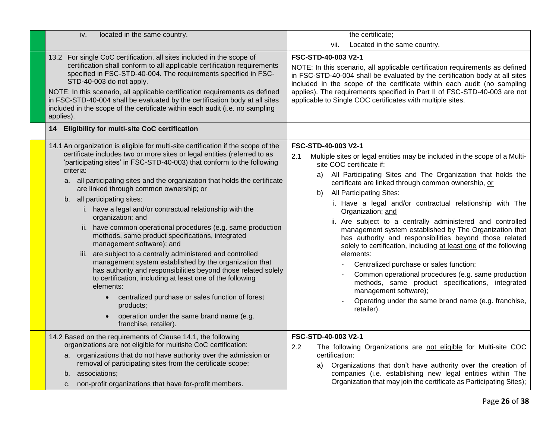| iv.<br>located in the same country.                                                                                                                                                                                                                                                                                                                                                                                                                                                                                                                                                                                                                                                                                                                                                                                                                                                                                                                                                                                                                        | the certificate;                                                                                                                                                                                                                                                                                                                                                                                                                                                                                                                                                                                                                                                                                                                                                                                                                                                                                            |
|------------------------------------------------------------------------------------------------------------------------------------------------------------------------------------------------------------------------------------------------------------------------------------------------------------------------------------------------------------------------------------------------------------------------------------------------------------------------------------------------------------------------------------------------------------------------------------------------------------------------------------------------------------------------------------------------------------------------------------------------------------------------------------------------------------------------------------------------------------------------------------------------------------------------------------------------------------------------------------------------------------------------------------------------------------|-------------------------------------------------------------------------------------------------------------------------------------------------------------------------------------------------------------------------------------------------------------------------------------------------------------------------------------------------------------------------------------------------------------------------------------------------------------------------------------------------------------------------------------------------------------------------------------------------------------------------------------------------------------------------------------------------------------------------------------------------------------------------------------------------------------------------------------------------------------------------------------------------------------|
|                                                                                                                                                                                                                                                                                                                                                                                                                                                                                                                                                                                                                                                                                                                                                                                                                                                                                                                                                                                                                                                            | Located in the same country.<br>vii.                                                                                                                                                                                                                                                                                                                                                                                                                                                                                                                                                                                                                                                                                                                                                                                                                                                                        |
| 13.2 For single CoC certification, all sites included in the scope of<br>certification shall conform to all applicable certification requirements<br>specified in FSC-STD-40-004. The requirements specified in FSC-<br>STD-40-003 do not apply.<br>NOTE: In this scenario, all applicable certification requirements as defined<br>in FSC-STD-40-004 shall be evaluated by the certification body at all sites<br>included in the scope of the certificate within each audit (i.e. no sampling<br>applies).                                                                                                                                                                                                                                                                                                                                                                                                                                                                                                                                               | FSC-STD-40-003 V2-1<br>NOTE: In this scenario, all applicable certification requirements as defined<br>in FSC-STD-40-004 shall be evaluated by the certification body at all sites<br>included in the scope of the certificate within each audit (no sampling<br>applies). The requirements specified in Part II of FSC-STD-40-003 are not<br>applicable to Single COC certificates with multiple sites.                                                                                                                                                                                                                                                                                                                                                                                                                                                                                                    |
| 14 Eligibility for multi-site CoC certification                                                                                                                                                                                                                                                                                                                                                                                                                                                                                                                                                                                                                                                                                                                                                                                                                                                                                                                                                                                                            |                                                                                                                                                                                                                                                                                                                                                                                                                                                                                                                                                                                                                                                                                                                                                                                                                                                                                                             |
| 14.1 An organization is eligible for multi-site certification if the scope of the<br>certificate includes two or more sites or legal entities (referred to as<br>'participating sites' in FSC-STD-40-003) that conform to the following<br>criteria:<br>a. all participating sites and the organization that holds the certificate<br>are linked through common ownership; or<br>b. all participating sites:<br>i. have a legal and/or contractual relationship with the<br>organization; and<br>ii. have common operational procedures (e.g. same production<br>methods, same product specifications, integrated<br>management software); and<br>iii. are subject to a centrally administered and controlled<br>management system established by the organization that<br>has authority and responsibilities beyond those related solely<br>to certification, including at least one of the following<br>elements:<br>centralized purchase or sales function of forest<br>products;<br>operation under the same brand name (e.g.<br>franchise, retailer). | FSC-STD-40-003 V2-1<br>2.1<br>Multiple sites or legal entities may be included in the scope of a Multi-<br>site COC certificate if:<br>All Participating Sites and The Organization that holds the<br>a)<br>certificate are linked through common ownership, or<br>All Participating Sites:<br>b)<br>i. Have a legal and/or contractual relationship with The<br>Organization; and<br>ii. Are subject to a centrally administered and controlled<br>management system established by The Organization that<br>has authority and responsibilities beyond those related<br>solely to certification, including at least one of the following<br>elements:<br>Centralized purchase or sales function;<br>Common operational procedures (e.g. same production<br>methods, same product specifications, integrated<br>management software);<br>Operating under the same brand name (e.g. franchise,<br>retailer). |
| 14.2 Based on the requirements of Clause 14.1, the following<br>organizations are not eligible for multisite CoC certification:<br>a. organizations that do not have authority over the admission or<br>removal of participating sites from the certificate scope;<br>b. associations;<br>c. non-profit organizations that have for-profit members.                                                                                                                                                                                                                                                                                                                                                                                                                                                                                                                                                                                                                                                                                                        | FSC-STD-40-003 V2-1<br>2.2<br>The following Organizations are not eligible for Multi-site COC<br>certification:<br>Organizations that don't have authority over the creation of<br>a)<br>companies (i.e. establishing new legal entities within The<br>Organization that may join the certificate as Participating Sites);                                                                                                                                                                                                                                                                                                                                                                                                                                                                                                                                                                                  |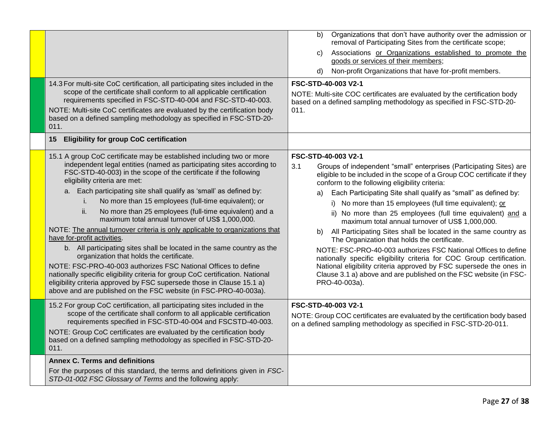|                                                                                                                                                                                                                                                                                                                                                                                                                                                                                                                                                                                                                                                                                                                                                                                                                                                                                                                                                                                                                                                    | Organizations that don't have authority over the admission or<br>b)<br>removal of Participating Sites from the certificate scope;<br>Associations or Organizations established to promote the<br>C)<br>goods or services of their members;<br>Non-profit Organizations that have for-profit members.<br>d)                                                                                                                                                                                                                                                                                                                                                                                                                                                                                                                                                                                                            |
|----------------------------------------------------------------------------------------------------------------------------------------------------------------------------------------------------------------------------------------------------------------------------------------------------------------------------------------------------------------------------------------------------------------------------------------------------------------------------------------------------------------------------------------------------------------------------------------------------------------------------------------------------------------------------------------------------------------------------------------------------------------------------------------------------------------------------------------------------------------------------------------------------------------------------------------------------------------------------------------------------------------------------------------------------|-----------------------------------------------------------------------------------------------------------------------------------------------------------------------------------------------------------------------------------------------------------------------------------------------------------------------------------------------------------------------------------------------------------------------------------------------------------------------------------------------------------------------------------------------------------------------------------------------------------------------------------------------------------------------------------------------------------------------------------------------------------------------------------------------------------------------------------------------------------------------------------------------------------------------|
| 14.3 For multi-site CoC certification, all participating sites included in the<br>scope of the certificate shall conform to all applicable certification<br>requirements specified in FSC-STD-40-004 and FSC-STD-40-003.<br>NOTE: Multi-site CoC certificates are evaluated by the certification body<br>based on a defined sampling methodology as specified in FSC-STD-20-<br>011.                                                                                                                                                                                                                                                                                                                                                                                                                                                                                                                                                                                                                                                               | FSC-STD-40-003 V2-1<br>NOTE: Multi-site COC certificates are evaluated by the certification body<br>based on a defined sampling methodology as specified in FSC-STD-20-<br>011.                                                                                                                                                                                                                                                                                                                                                                                                                                                                                                                                                                                                                                                                                                                                       |
| <b>Eligibility for group CoC certification</b><br>15                                                                                                                                                                                                                                                                                                                                                                                                                                                                                                                                                                                                                                                                                                                                                                                                                                                                                                                                                                                               |                                                                                                                                                                                                                                                                                                                                                                                                                                                                                                                                                                                                                                                                                                                                                                                                                                                                                                                       |
| 15.1 A group CoC certificate may be established including two or more<br>independent legal entities (named as participating sites according to<br>FSC-STD-40-003) in the scope of the certificate if the following<br>eligibility criteria are met:<br>a. Each participating site shall qualify as 'small' as defined by:<br>No more than 15 employees (full-time equivalent); or<br>i.<br>ii.<br>No more than 25 employees (full-time equivalent) and a<br>maximum total annual turnover of US\$ 1,000,000.<br>NOTE: The annual turnover criteria is only applicable to organizations that<br>have for-profit activities.<br>b. All participating sites shall be located in the same country as the<br>organization that holds the certificate.<br>NOTE: FSC-PRO-40-003 authorizes FSC National Offices to define<br>nationally specific eligibility criteria for group CoC certification. National<br>eligibility criteria approved by FSC supersede those in Clause 15.1 a)<br>above and are published on the FSC website (in FSC-PRO-40-003a). | FSC-STD-40-003 V2-1<br>3.1<br>Groups of independent "small" enterprises (Participating Sites) are<br>eligible to be included in the scope of a Group COC certificate if they<br>conform to the following eligibility criteria:<br>Each Participating Site shall qualify as "small" as defined by:<br>a)<br>i) No more than 15 employees (full time equivalent); or<br>ii) No more than 25 employees (full time equivalent) and a<br>maximum total annual turnover of US\$ 1,000,000.<br>All Participating Sites shall be located in the same country as<br>b)<br>The Organization that holds the certificate.<br>NOTE: FSC-PRO-40-003 authorizes FSC National Offices to define<br>nationally specific eligibility criteria for COC Group certification.<br>National eligibility criteria approved by FSC supersede the ones in<br>Clause 3.1 a) above and are published on the FSC website (in FSC-<br>PRO-40-003a). |
| 15.2 For group CoC certification, all participating sites included in the<br>scope of the certificate shall conform to all applicable certification<br>requirements specified in FSC-STD-40-004 and FSCSTD-40-003.<br>NOTE: Group CoC certificates are evaluated by the certification body<br>based on a defined sampling methodology as specified in FSC-STD-20-<br>011.                                                                                                                                                                                                                                                                                                                                                                                                                                                                                                                                                                                                                                                                          | FSC-STD-40-003 V2-1<br>NOTE: Group COC certificates are evaluated by the certification body based<br>on a defined sampling methodology as specified in FSC-STD-20-011.                                                                                                                                                                                                                                                                                                                                                                                                                                                                                                                                                                                                                                                                                                                                                |
| <b>Annex C. Terms and definitions</b><br>For the purposes of this standard, the terms and definitions given in FSC-<br>STD-01-002 FSC Glossary of Terms and the following apply:                                                                                                                                                                                                                                                                                                                                                                                                                                                                                                                                                                                                                                                                                                                                                                                                                                                                   |                                                                                                                                                                                                                                                                                                                                                                                                                                                                                                                                                                                                                                                                                                                                                                                                                                                                                                                       |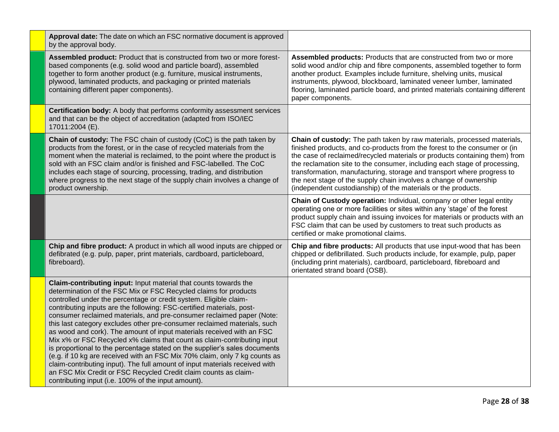| Approval date: The date on which an FSC normative document is approved<br>by the approval body.                                                                                                                                                                                                                                                                                                                                                                                                                                                                                                                                                                                                                                                                                                                                                                                                                                                                  |                                                                                                                                                                                                                                                                                                                                                                                                                                                                                                                                 |
|------------------------------------------------------------------------------------------------------------------------------------------------------------------------------------------------------------------------------------------------------------------------------------------------------------------------------------------------------------------------------------------------------------------------------------------------------------------------------------------------------------------------------------------------------------------------------------------------------------------------------------------------------------------------------------------------------------------------------------------------------------------------------------------------------------------------------------------------------------------------------------------------------------------------------------------------------------------|---------------------------------------------------------------------------------------------------------------------------------------------------------------------------------------------------------------------------------------------------------------------------------------------------------------------------------------------------------------------------------------------------------------------------------------------------------------------------------------------------------------------------------|
| Assembled product: Product that is constructed from two or more forest-<br>based components (e.g. solid wood and particle board), assembled<br>together to form another product (e.g. furniture, musical instruments,<br>plywood, laminated products, and packaging or printed materials<br>containing different paper components).                                                                                                                                                                                                                                                                                                                                                                                                                                                                                                                                                                                                                              | Assembled products: Products that are constructed from two or more<br>solid wood and/or chip and fibre components, assembled together to form<br>another product. Examples include furniture, shelving units, musical<br>instruments, plywood, blockboard, laminated veneer lumber, laminated<br>flooring, laminated particle board, and printed materials containing different<br>paper components.                                                                                                                            |
| Certification body: A body that performs conformity assessment services<br>and that can be the object of accreditation (adapted from ISO/IEC<br>17011:2004 (E).                                                                                                                                                                                                                                                                                                                                                                                                                                                                                                                                                                                                                                                                                                                                                                                                  |                                                                                                                                                                                                                                                                                                                                                                                                                                                                                                                                 |
| <b>Chain of custody:</b> The FSC chain of custody (CoC) is the path taken by<br>products from the forest, or in the case of recycled materials from the<br>moment when the material is reclaimed, to the point where the product is<br>sold with an FSC claim and/or is finished and FSC-labelled. The CoC<br>includes each stage of sourcing, processing, trading, and distribution<br>where progress to the next stage of the supply chain involves a change of<br>product ownership.                                                                                                                                                                                                                                                                                                                                                                                                                                                                          | Chain of custody: The path taken by raw materials, processed materials,<br>finished products, and co-products from the forest to the consumer or (in<br>the case of reclaimed/recycled materials or products containing them) from<br>the reclamation site to the consumer, including each stage of processing,<br>transformation, manufacturing, storage and transport where progress to<br>the next stage of the supply chain involves a change of ownership<br>(independent custodianship) of the materials or the products. |
|                                                                                                                                                                                                                                                                                                                                                                                                                                                                                                                                                                                                                                                                                                                                                                                                                                                                                                                                                                  | Chain of Custody operation: Individual, company or other legal entity<br>operating one or more facilities or sites within any 'stage' of the forest<br>product supply chain and issuing invoices for materials or products with an<br>FSC claim that can be used by customers to treat such products as<br>certified or make promotional claims.                                                                                                                                                                                |
| Chip and fibre product: A product in which all wood inputs are chipped or<br>defibrated (e.g. pulp, paper, print materials, cardboard, particleboard,<br>fibreboard).                                                                                                                                                                                                                                                                                                                                                                                                                                                                                                                                                                                                                                                                                                                                                                                            | Chip and fibre products: All products that use input-wood that has been<br>chipped or defibrillated. Such products include, for example, pulp, paper<br>(including print materials), cardboard, particleboard, fibreboard and<br>orientated strand board (OSB).                                                                                                                                                                                                                                                                 |
| Claim-contributing input: Input material that counts towards the<br>determination of the FSC Mix or FSC Recycled claims for products<br>controlled under the percentage or credit system. Eligible claim-<br>contributing inputs are the following: FSC-certified materials, post-<br>consumer reclaimed materials, and pre-consumer reclaimed paper (Note:<br>this last category excludes other pre-consumer reclaimed materials, such<br>as wood and cork). The amount of input materials received with an FSC<br>Mix x% or FSC Recycled x% claims that count as claim-contributing input<br>is proportional to the percentage stated on the supplier's sales documents<br>(e.g. if 10 kg are received with an FSC Mix 70% claim, only 7 kg counts as<br>claim-contributing input). The full amount of input materials received with<br>an FSC Mix Credit or FSC Recycled Credit claim counts as claim-<br>contributing input (i.e. 100% of the input amount). |                                                                                                                                                                                                                                                                                                                                                                                                                                                                                                                                 |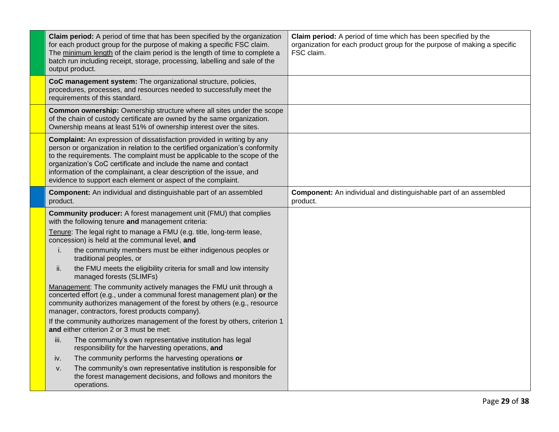| Claim period: A period of time that has been specified by the organization<br>for each product group for the purpose of making a specific FSC claim.<br>The minimum length of the claim period is the length of time to complete a<br>batch run including receipt, storage, processing, labelling and sale of the<br>output product.                                                                                                                    | Claim period: A period of time which has been specified by the<br>organization for each product group for the purpose of making a specific<br>FSC claim. |
|---------------------------------------------------------------------------------------------------------------------------------------------------------------------------------------------------------------------------------------------------------------------------------------------------------------------------------------------------------------------------------------------------------------------------------------------------------|----------------------------------------------------------------------------------------------------------------------------------------------------------|
| CoC management system: The organizational structure, policies,<br>procedures, processes, and resources needed to successfully meet the<br>requirements of this standard.                                                                                                                                                                                                                                                                                |                                                                                                                                                          |
| Common ownership: Ownership structure where all sites under the scope<br>of the chain of custody certificate are owned by the same organization.<br>Ownership means at least 51% of ownership interest over the sites.                                                                                                                                                                                                                                  |                                                                                                                                                          |
| <b>Complaint:</b> An expression of dissatisfaction provided in writing by any<br>person or organization in relation to the certified organization's conformity<br>to the requirements. The complaint must be applicable to the scope of the<br>organization's CoC certificate and include the name and contact<br>information of the complainant, a clear description of the issue, and<br>evidence to support each element or aspect of the complaint. |                                                                                                                                                          |
| <b>Component:</b> An individual and distinguishable part of an assembled<br>product.                                                                                                                                                                                                                                                                                                                                                                    | <b>Component:</b> An individual and distinguishable part of an assembled<br>product.                                                                     |
| <b>Community producer:</b> A forest management unit (FMU) that complies<br>with the following tenure and management criteria:<br>Tenure: The legal right to manage a FMU (e.g. title, long-term lease,                                                                                                                                                                                                                                                  |                                                                                                                                                          |
| concession) is held at the communal level, and<br>the community members must be either indigenous peoples or<br>i.<br>traditional peoples, or                                                                                                                                                                                                                                                                                                           |                                                                                                                                                          |
| the FMU meets the eligibility criteria for small and low intensity<br>ii.<br>managed forests (SLIMFs)                                                                                                                                                                                                                                                                                                                                                   |                                                                                                                                                          |
| Management: The community actively manages the FMU unit through a<br>concerted effort (e.g., under a communal forest management plan) or the<br>community authorizes management of the forest by others (e.g., resource<br>manager, contractors, forest products company).                                                                                                                                                                              |                                                                                                                                                          |
| If the community authorizes management of the forest by others, criterion 1<br>and either criterion 2 or 3 must be met:                                                                                                                                                                                                                                                                                                                                 |                                                                                                                                                          |
| iii.<br>The community's own representative institution has legal<br>responsibility for the harvesting operations, and                                                                                                                                                                                                                                                                                                                                   |                                                                                                                                                          |
| The community performs the harvesting operations or<br>iv.                                                                                                                                                                                                                                                                                                                                                                                              |                                                                                                                                                          |
| The community's own representative institution is responsible for<br>V.<br>the forest management decisions, and follows and monitors the<br>operations.                                                                                                                                                                                                                                                                                                 |                                                                                                                                                          |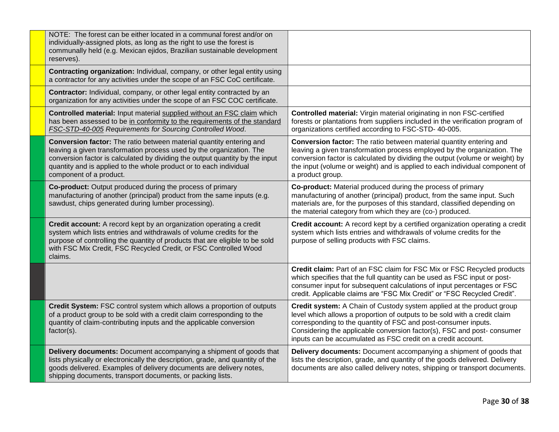| NOTE: The forest can be either located in a communal forest and/or on<br>individually-assigned plots, as long as the right to use the forest is<br>communally held (e.g. Mexican ejidos, Brazilian sustainable development<br>reserves).                                                                                     |                                                                                                                                                                                                                                                                                                                                                                |
|------------------------------------------------------------------------------------------------------------------------------------------------------------------------------------------------------------------------------------------------------------------------------------------------------------------------------|----------------------------------------------------------------------------------------------------------------------------------------------------------------------------------------------------------------------------------------------------------------------------------------------------------------------------------------------------------------|
| Contracting organization: Individual, company, or other legal entity using<br>a contractor for any activities under the scope of an FSC CoC certificate.                                                                                                                                                                     |                                                                                                                                                                                                                                                                                                                                                                |
| <b>Contractor:</b> Individual, company, or other legal entity contracted by an<br>organization for any activities under the scope of an FSC COC certificate.                                                                                                                                                                 |                                                                                                                                                                                                                                                                                                                                                                |
| Controlled material: Input material supplied without an FSC claim which<br>has been assessed to be in conformity to the requirements of the standard<br>FSC-STD-40-005 Requirements for Sourcing Controlled Wood.                                                                                                            | Controlled material: Virgin material originating in non FSC-certified<br>forests or plantations from suppliers included in the verification program of<br>organizations certified according to FSC-STD-40-005.                                                                                                                                                 |
| Conversion factor: The ratio between material quantity entering and<br>leaving a given transformation process used by the organization. The<br>conversion factor is calculated by dividing the output quantity by the input<br>quantity and is applied to the whole product or to each individual<br>component of a product. | Conversion factor: The ratio between material quantity entering and<br>leaving a given transformation process employed by the organization. The<br>conversion factor is calculated by dividing the output (volume or weight) by<br>the input (volume or weight) and is applied to each individual component of<br>a product group.                             |
| <b>Co-product:</b> Output produced during the process of primary<br>manufacturing of another (principal) product from the same inputs (e.g.<br>sawdust, chips generated during lumber processing).                                                                                                                           | Co-product: Material produced during the process of primary<br>manufacturing of another (principal) product, from the same input. Such<br>materials are, for the purposes of this standard, classified depending on<br>the material category from which they are (co-) produced.                                                                               |
| Credit account: A record kept by an organization operating a credit<br>system which lists entries and withdrawals of volume credits for the<br>purpose of controlling the quantity of products that are eligible to be sold<br>with FSC Mix Credit, FSC Recycled Credit, or FSC Controlled Wood<br>claims.                   | Credit account: A record kept by a certified organization operating a credit<br>system which lists entries and withdrawals of volume credits for the<br>purpose of selling products with FSC claims.                                                                                                                                                           |
|                                                                                                                                                                                                                                                                                                                              | Credit claim: Part of an FSC claim for FSC Mix or FSC Recycled products<br>which specifies that the full quantity can be used as FSC input or post-<br>consumer input for subsequent calculations of input percentages or FSC<br>credit. Applicable claims are "FSC Mix Credit" or "FSC Recycled Credit".                                                      |
| Credit System: FSC control system which allows a proportion of outputs<br>of a product group to be sold with a credit claim corresponding to the<br>quantity of claim-contributing inputs and the applicable conversion<br>factor(s).                                                                                        | Credit system: A Chain of Custody system applied at the product group<br>level which allows a proportion of outputs to be sold with a credit claim<br>corresponding to the quantity of FSC and post-consumer inputs.<br>Considering the applicable conversion factor(s), FSC and post-consumer<br>inputs can be accumulated as FSC credit on a credit account. |
| Delivery documents: Document accompanying a shipment of goods that<br>lists physically or electronically the description, grade, and quantity of the<br>goods delivered. Examples of delivery documents are delivery notes,<br>shipping documents, transport documents, or packing lists.                                    | Delivery documents: Document accompanying a shipment of goods that<br>lists the description, grade, and quantity of the goods delivered. Delivery<br>documents are also called delivery notes, shipping or transport documents.                                                                                                                                |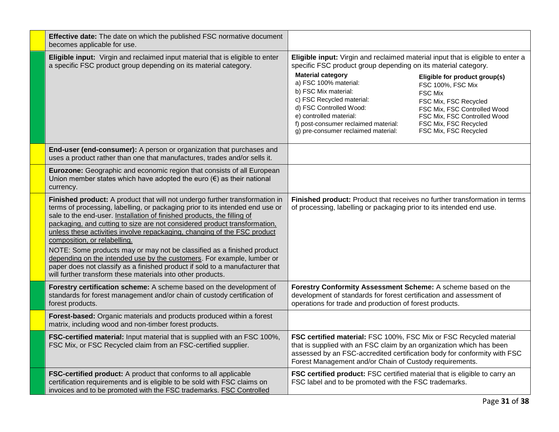| Effective date: The date on which the published FSC normative document<br>becomes applicable for use.                                                                                                                                                                                                                                                                                                                                                                                                                                                                                                                                                                                                                               |                                                                                                                                                                                                                                                                                   |                                                                                                                                                                                                                 |
|-------------------------------------------------------------------------------------------------------------------------------------------------------------------------------------------------------------------------------------------------------------------------------------------------------------------------------------------------------------------------------------------------------------------------------------------------------------------------------------------------------------------------------------------------------------------------------------------------------------------------------------------------------------------------------------------------------------------------------------|-----------------------------------------------------------------------------------------------------------------------------------------------------------------------------------------------------------------------------------------------------------------------------------|-----------------------------------------------------------------------------------------------------------------------------------------------------------------------------------------------------------------|
| Eligible input: Virgin and reclaimed input material that is eligible to enter<br>a specific FSC product group depending on its material category.                                                                                                                                                                                                                                                                                                                                                                                                                                                                                                                                                                                   | Eligible input: Virgin and reclaimed material input that is eligible to enter a<br>specific FSC product group depending on its material category.                                                                                                                                 |                                                                                                                                                                                                                 |
|                                                                                                                                                                                                                                                                                                                                                                                                                                                                                                                                                                                                                                                                                                                                     | <b>Material category</b><br>a) FSC 100% material:<br>b) FSC Mix material:<br>c) FSC Recycled material:<br>d) FSC Controlled Wood:<br>e) controlled material:<br>f) post-consumer reclaimed material:<br>g) pre-consumer reclaimed material:                                       | Eligible for product group(s)<br>FSC 100%, FSC Mix<br><b>FSC Mix</b><br>FSC Mix, FSC Recycled<br>FSC Mix, FSC Controlled Wood<br>FSC Mix, FSC Controlled Wood<br>FSC Mix, FSC Recycled<br>FSC Mix, FSC Recycled |
| End-user (end-consumer): A person or organization that purchases and<br>uses a product rather than one that manufactures, trades and/or sells it.                                                                                                                                                                                                                                                                                                                                                                                                                                                                                                                                                                                   |                                                                                                                                                                                                                                                                                   |                                                                                                                                                                                                                 |
| Eurozone: Geographic and economic region that consists of all European<br>Union member states which have adopted the euro $(\epsilon)$ as their national<br>currency.                                                                                                                                                                                                                                                                                                                                                                                                                                                                                                                                                               |                                                                                                                                                                                                                                                                                   |                                                                                                                                                                                                                 |
| Finished product: A product that will not undergo further transformation in<br>terms of processing, labelling, or packaging prior to its intended end use or<br>sale to the end-user. Installation of finished products, the filling of<br>packaging, and cutting to size are not considered product transformation,<br>unless these activities involve repackaging, changing of the FSC product<br>composition, or relabelling.<br>NOTE: Some products may or may not be classified as a finished product<br>depending on the intended use by the customers. For example, lumber or<br>paper does not classify as a finished product if sold to a manufacturer that<br>will further transform these materials into other products. | Finished product: Product that receives no further transformation in terms<br>of processing, labelling or packaging prior to its intended end use.                                                                                                                                |                                                                                                                                                                                                                 |
| Forestry certification scheme: A scheme based on the development of<br>standards for forest management and/or chain of custody certification of<br>forest products.                                                                                                                                                                                                                                                                                                                                                                                                                                                                                                                                                                 | Forestry Conformity Assessment Scheme: A scheme based on the<br>development of standards for forest certification and assessment of<br>operations for trade and production of forest products.                                                                                    |                                                                                                                                                                                                                 |
| Forest-based: Organic materials and products produced within a forest<br>matrix, including wood and non-timber forest products.                                                                                                                                                                                                                                                                                                                                                                                                                                                                                                                                                                                                     |                                                                                                                                                                                                                                                                                   |                                                                                                                                                                                                                 |
| FSC-certified material: Input material that is supplied with an FSC 100%,<br>FSC Mix, or FSC Recycled claim from an FSC-certified supplier.                                                                                                                                                                                                                                                                                                                                                                                                                                                                                                                                                                                         | FSC certified material: FSC 100%, FSC Mix or FSC Recycled material<br>that is supplied with an FSC claim by an organization which has been<br>assessed by an FSC-accredited certification body for conformity with FSC<br>Forest Management and/or Chain of Custody requirements. |                                                                                                                                                                                                                 |
| FSC-certified product: A product that conforms to all applicable<br>certification requirements and is eligible to be sold with FSC claims on<br>invoices and to be promoted with the FSC trademarks. FSC Controlled                                                                                                                                                                                                                                                                                                                                                                                                                                                                                                                 | FSC certified product: FSC certified material that is eligible to carry an<br>FSC label and to be promoted with the FSC trademarks.                                                                                                                                               |                                                                                                                                                                                                                 |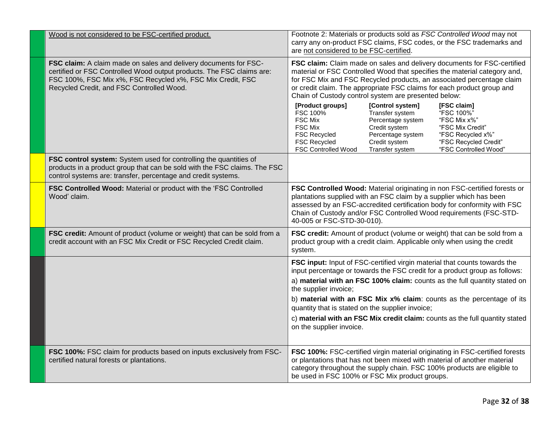| Wood is not considered to be FSC-certified product.                                                                                                                                                                                                  | Footnote 2: Materials or products sold as FSC Controlled Wood may not<br>carry any on-product FSC claims, FSC codes, or the FSC trademarks and<br>are not considered to be FSC-certified.                                                                                                                                                                                                                                                                                                                                                                                                                                                                                                                                                                                                     |
|------------------------------------------------------------------------------------------------------------------------------------------------------------------------------------------------------------------------------------------------------|-----------------------------------------------------------------------------------------------------------------------------------------------------------------------------------------------------------------------------------------------------------------------------------------------------------------------------------------------------------------------------------------------------------------------------------------------------------------------------------------------------------------------------------------------------------------------------------------------------------------------------------------------------------------------------------------------------------------------------------------------------------------------------------------------|
| FSC claim: A claim made on sales and delivery documents for FSC-<br>certified or FSC Controlled Wood output products. The FSC claims are:<br>FSC 100%, FSC Mix x%, FSC Recycled x%, FSC Mix Credit, FSC<br>Recycled Credit, and FSC Controlled Wood. | FSC claim: Claim made on sales and delivery documents for FSC-certified<br>material or FSC Controlled Wood that specifies the material category and,<br>for FSC Mix and FSC Recycled products, an associated percentage claim<br>or credit claim. The appropriate FSC claims for each product group and<br>Chain of Custody control system are presented below:<br>[Control system]<br>[Product groups]<br>[FSC claim]<br>FSC 100%<br>Transfer system<br>"FSC 100%"<br><b>FSC Mix</b><br>Percentage system<br>"FSC Mix x%"<br><b>FSC Mix</b><br>Credit system<br>"FSC Mix Credit"<br>Percentage system<br><b>FSC Recycled</b><br>"FSC Recycled x%"<br><b>FSC Recycled</b><br>Credit system<br>"FSC Recycled Credit"<br>"FSC Controlled Wood"<br><b>FSC Controlled Wood</b><br>Transfer system |
| FSC control system: System used for controlling the quantities of<br>products in a product group that can be sold with the FSC claims. The FSC<br>control systems are: transfer, percentage and credit systems.                                      |                                                                                                                                                                                                                                                                                                                                                                                                                                                                                                                                                                                                                                                                                                                                                                                               |
| FSC Controlled Wood: Material or product with the 'FSC Controlled<br>Wood' claim.                                                                                                                                                                    | FSC Controlled Wood: Material originating in non FSC-certified forests or<br>plantations supplied with an FSC claim by a supplier which has been<br>assessed by an FSC-accredited certification body for conformity with FSC<br>Chain of Custody and/or FSC Controlled Wood requirements (FSC-STD-<br>40-005 or FSC-STD-30-010).                                                                                                                                                                                                                                                                                                                                                                                                                                                              |
| FSC credit: Amount of product (volume or weight) that can be sold from a<br>credit account with an FSC Mix Credit or FSC Recycled Credit claim.                                                                                                      | FSC credit: Amount of product (volume or weight) that can be sold from a<br>product group with a credit claim. Applicable only when using the credit<br>system.                                                                                                                                                                                                                                                                                                                                                                                                                                                                                                                                                                                                                               |
|                                                                                                                                                                                                                                                      | FSC input: Input of FSC-certified virgin material that counts towards the<br>input percentage or towards the FSC credit for a product group as follows:                                                                                                                                                                                                                                                                                                                                                                                                                                                                                                                                                                                                                                       |
|                                                                                                                                                                                                                                                      | a) material with an FSC 100% claim: counts as the full quantity stated on<br>the supplier invoice;<br>b) material with an FSC Mix x% claim: counts as the percentage of its<br>quantity that is stated on the supplier invoice;                                                                                                                                                                                                                                                                                                                                                                                                                                                                                                                                                               |
|                                                                                                                                                                                                                                                      | c) material with an FSC Mix credit claim: counts as the full quantity stated<br>on the supplier invoice.                                                                                                                                                                                                                                                                                                                                                                                                                                                                                                                                                                                                                                                                                      |
| FSC 100%: FSC claim for products based on inputs exclusively from FSC-<br>certified natural forests or plantations.                                                                                                                                  | FSC 100%: FSC-certified virgin material originating in FSC-certified forests<br>or plantations that has not been mixed with material of another material<br>category throughout the supply chain. FSC 100% products are eligible to<br>be used in FSC 100% or FSC Mix product groups.                                                                                                                                                                                                                                                                                                                                                                                                                                                                                                         |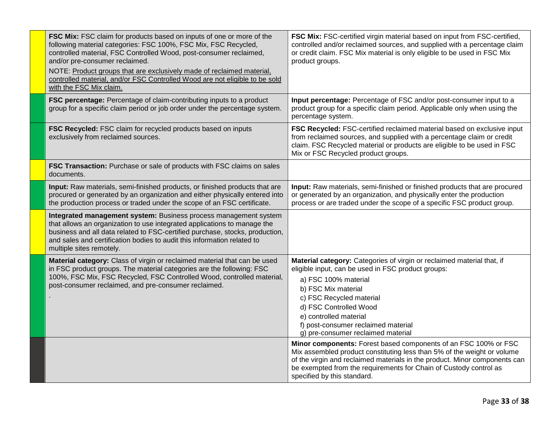| FSC Mix: FSC claim for products based on inputs of one or more of the<br>following material categories: FSC 100%, FSC Mix, FSC Recycled,<br>controlled material, FSC Controlled Wood, post-consumer reclaimed,<br>and/or pre-consumer reclaimed.<br>NOTE: Product groups that are exclusively made of reclaimed material,<br>controlled material, and/or FSC Controlled Wood are not eligible to be sold<br>with the FSC Mix claim. | FSC Mix: FSC-certified virgin material based on input from FSC-certified,<br>controlled and/or reclaimed sources, and supplied with a percentage claim<br>or credit claim. FSC Mix material is only eligible to be used in FSC Mix<br>product groups.                                                                                    |
|-------------------------------------------------------------------------------------------------------------------------------------------------------------------------------------------------------------------------------------------------------------------------------------------------------------------------------------------------------------------------------------------------------------------------------------|------------------------------------------------------------------------------------------------------------------------------------------------------------------------------------------------------------------------------------------------------------------------------------------------------------------------------------------|
| FSC percentage: Percentage of claim-contributing inputs to a product<br>group for a specific claim period or job order under the percentage system.                                                                                                                                                                                                                                                                                 | Input percentage: Percentage of FSC and/or post-consumer input to a<br>product group for a specific claim period. Applicable only when using the<br>percentage system.                                                                                                                                                                   |
| FSC Recycled: FSC claim for recycled products based on inputs<br>exclusively from reclaimed sources.                                                                                                                                                                                                                                                                                                                                | FSC Recycled: FSC-certified reclaimed material based on exclusive input<br>from reclaimed sources, and supplied with a percentage claim or credit<br>claim. FSC Recycled material or products are eligible to be used in FSC<br>Mix or FSC Recycled product groups.                                                                      |
| FSC Transaction: Purchase or sale of products with FSC claims on sales<br>documents.                                                                                                                                                                                                                                                                                                                                                |                                                                                                                                                                                                                                                                                                                                          |
| Input: Raw materials, semi-finished products, or finished products that are<br>procured or generated by an organization and either physically entered into<br>the production process or traded under the scope of an FSC certificate.                                                                                                                                                                                               | Input: Raw materials, semi-finished or finished products that are procured<br>or generated by an organization, and physically enter the production<br>process or are traded under the scope of a specific FSC product group.                                                                                                             |
| Integrated management system: Business process management system<br>that allows an organization to use integrated applications to manage the<br>business and all data related to FSC-certified purchase, stocks, production,<br>and sales and certification bodies to audit this information related to<br>multiple sites remotely.                                                                                                 |                                                                                                                                                                                                                                                                                                                                          |
| Material category: Class of virgin or reclaimed material that can be used<br>in FSC product groups. The material categories are the following: FSC<br>100%, FSC Mix, FSC Recycled, FSC Controlled Wood, controlled material,<br>post-consumer reclaimed, and pre-consumer reclaimed.                                                                                                                                                | Material category: Categories of virgin or reclaimed material that, if<br>eligible input, can be used in FSC product groups:<br>a) FSC 100% material<br>b) FSC Mix material<br>c) FSC Recycled material<br>d) FSC Controlled Wood<br>e) controlled material<br>f) post-consumer reclaimed material<br>g) pre-consumer reclaimed material |
|                                                                                                                                                                                                                                                                                                                                                                                                                                     | Minor components: Forest based components of an FSC 100% or FSC<br>Mix assembled product constituting less than 5% of the weight or volume<br>of the virgin and reclaimed materials in the product. Minor components can<br>be exempted from the requirements for Chain of Custody control as<br>specified by this standard.             |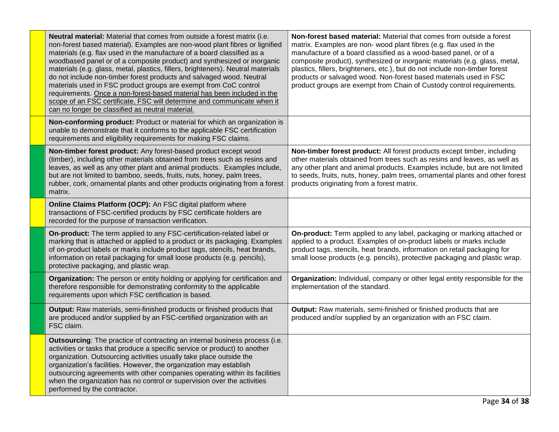| Neutral material: Material that comes from outside a forest matrix (i.e.<br>non-forest based material). Examples are non-wood plant fibres or lignified<br>materials (e.g. flax used in the manufacture of a board classified as a<br>woodbased panel or of a composite product) and synthesized or inorganic<br>materials (e.g. glass, metal, plastics, fillers, brighteners). Neutral materials<br>do not include non-timber forest products and salvaged wood. Neutral<br>materials used in FSC product groups are exempt from CoC control<br>requirements. Once a non-forest-based material has been included in the<br>scope of an FSC certificate, FSC will determine and communicate when it<br>can no longer be classified as neutral material. | Non-forest based material: Material that comes from outside a forest<br>matrix. Examples are non- wood plant fibres (e.g. flax used in the<br>manufacture of a board classified as a wood-based panel, or of a<br>composite product), synthesized or inorganic materials (e.g. glass, metal,<br>plastics, fillers, brighteners, etc.), but do not include non-timber forest<br>products or salvaged wood. Non-forest based materials used in FSC<br>product groups are exempt from Chain of Custody control requirements. |
|---------------------------------------------------------------------------------------------------------------------------------------------------------------------------------------------------------------------------------------------------------------------------------------------------------------------------------------------------------------------------------------------------------------------------------------------------------------------------------------------------------------------------------------------------------------------------------------------------------------------------------------------------------------------------------------------------------------------------------------------------------|---------------------------------------------------------------------------------------------------------------------------------------------------------------------------------------------------------------------------------------------------------------------------------------------------------------------------------------------------------------------------------------------------------------------------------------------------------------------------------------------------------------------------|
| Non-conforming product: Product or material for which an organization is<br>unable to demonstrate that it conforms to the applicable FSC certification<br>requirements and eligibility requirements for making FSC claims.                                                                                                                                                                                                                                                                                                                                                                                                                                                                                                                              |                                                                                                                                                                                                                                                                                                                                                                                                                                                                                                                           |
| Non-timber forest product: Any forest-based product except wood<br>(timber), including other materials obtained from trees such as resins and<br>leaves, as well as any other plant and animal products. Examples include,<br>but are not limited to bamboo, seeds, fruits, nuts, honey, palm trees,<br>rubber, cork, ornamental plants and other products originating from a forest<br>matrix.                                                                                                                                                                                                                                                                                                                                                         | Non-timber forest product: All forest products except timber, including<br>other materials obtained from trees such as resins and leaves, as well as<br>any other plant and animal products. Examples include, but are not limited<br>to seeds, fruits, nuts, honey, palm trees, ornamental plants and other forest<br>products originating from a forest matrix.                                                                                                                                                         |
| Online Claims Platform (OCP): An FSC digital platform where<br>transactions of FSC-certified products by FSC certificate holders are<br>recorded for the purpose of transaction verification.                                                                                                                                                                                                                                                                                                                                                                                                                                                                                                                                                           |                                                                                                                                                                                                                                                                                                                                                                                                                                                                                                                           |
| On-product: The term applied to any FSC-certification-related label or<br>marking that is attached or applied to a product or its packaging. Examples<br>of on-product labels or marks include product tags, stencils, heat brands,<br>information on retail packaging for small loose products (e.g. pencils),<br>protective packaging, and plastic wrap.                                                                                                                                                                                                                                                                                                                                                                                              | On-product: Term applied to any label, packaging or marking attached or<br>applied to a product. Examples of on-product labels or marks include<br>product tags, stencils, heat brands, information on retail packaging for<br>small loose products (e.g. pencils), protective packaging and plastic wrap.                                                                                                                                                                                                                |
| Organization: The person or entity holding or applying for certification and<br>therefore responsible for demonstrating conformity to the applicable<br>requirements upon which FSC certification is based.                                                                                                                                                                                                                                                                                                                                                                                                                                                                                                                                             | Organization: Individual, company or other legal entity responsible for the<br>implementation of the standard.                                                                                                                                                                                                                                                                                                                                                                                                            |
| Output: Raw materials, semi-finished products or finished products that<br>are produced and/or supplied by an FSC-certified organization with an<br>FSC claim.                                                                                                                                                                                                                                                                                                                                                                                                                                                                                                                                                                                          | Output: Raw materials, semi-finished or finished products that are<br>produced and/or supplied by an organization with an FSC claim.                                                                                                                                                                                                                                                                                                                                                                                      |
| Outsourcing: The practice of contracting an internal business process (i.e.<br>activities or tasks that produce a specific service or product) to another<br>organization. Outsourcing activities usually take place outside the<br>organization's facilities. However, the organization may establish<br>outsourcing agreements with other companies operating within its facilities<br>when the organization has no control or supervision over the activities<br>performed by the contractor.                                                                                                                                                                                                                                                        |                                                                                                                                                                                                                                                                                                                                                                                                                                                                                                                           |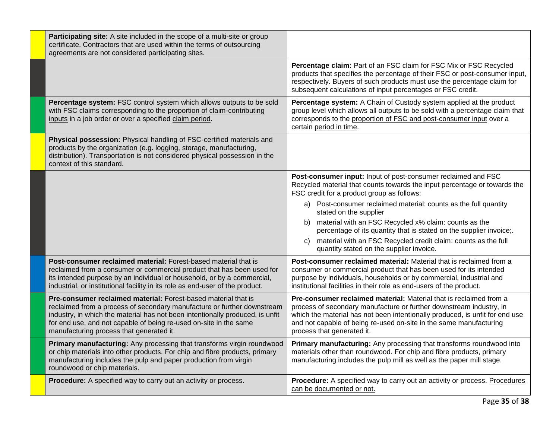| Participating site: A site included in the scope of a multi-site or group<br>certificate. Contractors that are used within the terms of outsourcing<br>agreements are not considered participating sites.                                                                                                                                   |                                                                                                                                                                                                                                                                                                                               |
|---------------------------------------------------------------------------------------------------------------------------------------------------------------------------------------------------------------------------------------------------------------------------------------------------------------------------------------------|-------------------------------------------------------------------------------------------------------------------------------------------------------------------------------------------------------------------------------------------------------------------------------------------------------------------------------|
|                                                                                                                                                                                                                                                                                                                                             | Percentage claim: Part of an FSC claim for FSC Mix or FSC Recycled<br>products that specifies the percentage of their FSC or post-consumer input,<br>respectively. Buyers of such products must use the percentage claim for<br>subsequent calculations of input percentages or FSC credit.                                   |
| Percentage system: FSC control system which allows outputs to be sold<br>with FSC claims corresponding to the proportion of claim-contributing<br>inputs in a job order or over a specified claim period.                                                                                                                                   | Percentage system: A Chain of Custody system applied at the product<br>group level which allows all outputs to be sold with a percentage claim that<br>corresponds to the proportion of FSC and post-consumer input over a<br>certain period in time.                                                                         |
| Physical possession: Physical handling of FSC-certified materials and<br>products by the organization (e.g. logging, storage, manufacturing,<br>distribution). Transportation is not considered physical possession in the<br>context of this standard.                                                                                     |                                                                                                                                                                                                                                                                                                                               |
|                                                                                                                                                                                                                                                                                                                                             | Post-consumer input: Input of post-consumer reclaimed and FSC<br>Recycled material that counts towards the input percentage or towards the<br>FSC credit for a product group as follows:                                                                                                                                      |
|                                                                                                                                                                                                                                                                                                                                             | a) Post-consumer reclaimed material: counts as the full quantity<br>stated on the supplier                                                                                                                                                                                                                                    |
|                                                                                                                                                                                                                                                                                                                                             | material with an FSC Recycled x% claim: counts as the<br>b)<br>percentage of its quantity that is stated on the supplier invoice;.                                                                                                                                                                                            |
|                                                                                                                                                                                                                                                                                                                                             | material with an FSC Recycled credit claim: counts as the full<br>C)<br>quantity stated on the supplier invoice.                                                                                                                                                                                                              |
| Post-consumer reclaimed material: Forest-based material that is<br>reclaimed from a consumer or commercial product that has been used for<br>its intended purpose by an individual or household, or by a commercial,<br>industrial, or institutional facility in its role as end-user of the product.                                       | <b>Post-consumer reclaimed material:</b> Material that is reclaimed from a<br>consumer or commercial product that has been used for its intended<br>purpose by individuals, households or by commercial, industrial and<br>institutional facilities in their role as end-users of the product.                                |
| Pre-consumer reclaimed material: Forest-based material that is<br>reclaimed from a process of secondary manufacture or further downstream<br>industry, in which the material has not been intentionally produced, is unfit<br>for end use, and not capable of being re-used on-site in the same<br>manufacturing process that generated it. | Pre-consumer reclaimed material: Material that is reclaimed from a<br>process of secondary manufacture or further downstream industry, in<br>which the material has not been intentionally produced, is unfit for end use<br>and not capable of being re-used on-site in the same manufacturing<br>process that generated it. |
| Primary manufacturing: Any processing that transforms virgin roundwood<br>or chip materials into other products. For chip and fibre products, primary<br>manufacturing includes the pulp and paper production from virgin<br>roundwood or chip materials.                                                                                   | Primary manufacturing: Any processing that transforms roundwood into<br>materials other than roundwood. For chip and fibre products, primary<br>manufacturing includes the pulp mill as well as the paper mill stage.                                                                                                         |
| <b>Procedure:</b> A specified way to carry out an activity or process.                                                                                                                                                                                                                                                                      | Procedure: A specified way to carry out an activity or process. Procedures<br>can be documented or not.                                                                                                                                                                                                                       |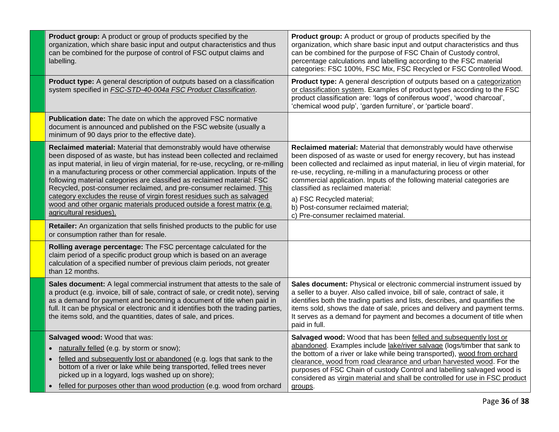| Product group: A product or group of products specified by the<br>organization, which share basic input and output characteristics and thus<br>can be combined for the purpose of control of FSC output claims and<br>labelling.                                                                                                                                                                                                                                                                                                                                                                                                                     | Product group: A product or group of products specified by the<br>organization, which share basic input and output characteristics and thus<br>can be combined for the purpose of FSC Chain of Custody control,<br>percentage calculations and labelling according to the FSC material<br>categories: FSC 100%, FSC Mix, FSC Recycled or FSC Controlled Wood.                                                                                                                                                                     |
|------------------------------------------------------------------------------------------------------------------------------------------------------------------------------------------------------------------------------------------------------------------------------------------------------------------------------------------------------------------------------------------------------------------------------------------------------------------------------------------------------------------------------------------------------------------------------------------------------------------------------------------------------|-----------------------------------------------------------------------------------------------------------------------------------------------------------------------------------------------------------------------------------------------------------------------------------------------------------------------------------------------------------------------------------------------------------------------------------------------------------------------------------------------------------------------------------|
| Product type: A general description of outputs based on a classification<br>system specified in <b>FSC-STD-40-004a FSC Product Classification</b> .                                                                                                                                                                                                                                                                                                                                                                                                                                                                                                  | Product type: A general description of outputs based on a categorization<br>or classification system. Examples of product types according to the FSC<br>product classification are: 'logs of coniferous wood', 'wood charcoal',<br>'chemical wood pulp', 'garden furniture', or 'particle board'.                                                                                                                                                                                                                                 |
| Publication date: The date on which the approved FSC normative<br>document is announced and published on the FSC website (usually a<br>minimum of 90 days prior to the effective date).                                                                                                                                                                                                                                                                                                                                                                                                                                                              |                                                                                                                                                                                                                                                                                                                                                                                                                                                                                                                                   |
| Reclaimed material: Material that demonstrably would have otherwise<br>been disposed of as waste, but has instead been collected and reclaimed<br>as input material, in lieu of virgin material, for re-use, recycling, or re-milling<br>in a manufacturing process or other commercial application. Inputs of the<br>following material categories are classified as reclaimed material: FSC<br>Recycled, post-consumer reclaimed, and pre-consumer reclaimed. This<br>category excludes the reuse of virgin forest residues such as salvaged<br>wood and other organic materials produced outside a forest matrix (e.g.<br>agricultural residues). | Reclaimed material: Material that demonstrably would have otherwise<br>been disposed of as waste or used for energy recovery, but has instead<br>been collected and reclaimed as input material, in lieu of virgin material, for<br>re-use, recycling, re-milling in a manufacturing process or other<br>commercial application. Inputs of the following material categories are<br>classified as reclaimed material:<br>a) FSC Recycled material;<br>b) Post-consumer reclaimed material;<br>c) Pre-consumer reclaimed material. |
| Retailer: An organization that sells finished products to the public for use<br>or consumption rather than for resale.                                                                                                                                                                                                                                                                                                                                                                                                                                                                                                                               |                                                                                                                                                                                                                                                                                                                                                                                                                                                                                                                                   |
| Rolling average percentage: The FSC percentage calculated for the<br>claim period of a specific product group which is based on an average<br>calculation of a specified number of previous claim periods, not greater<br>than 12 months.                                                                                                                                                                                                                                                                                                                                                                                                            |                                                                                                                                                                                                                                                                                                                                                                                                                                                                                                                                   |
| Sales document: A legal commercial instrument that attests to the sale of<br>a product (e.g. invoice, bill of sale, contract of sale, or credit note), serving<br>as a demand for payment and becoming a document of title when paid in<br>full. It can be physical or electronic and it identifies both the trading parties,<br>the items sold, and the quantities, dates of sale, and prices.                                                                                                                                                                                                                                                      | Sales document: Physical or electronic commercial instrument issued by<br>a seller to a buyer. Also called invoice, bill of sale, contract of sale, it<br>identifies both the trading parties and lists, describes, and quantifies the<br>items sold, shows the date of sale, prices and delivery and payment terms.<br>It serves as a demand for payment and becomes a document of title when<br>paid in full.                                                                                                                   |
| Salvaged wood: Wood that was:<br>naturally felled (e.g. by storm or snow);<br>$\bullet$<br>felled and subsequently lost or abandoned (e.g. logs that sank to the<br>$\bullet$<br>bottom of a river or lake while being transported, felled trees never<br>picked up in a logyard, logs washed up on shore);<br>felled for purposes other than wood production (e.g. wood from orchard                                                                                                                                                                                                                                                                | Salvaged wood: Wood that has been felled and subsequently lost or<br>abandoned. Examples include lake/river salvage (logs/timber that sank to<br>the bottom of a river or lake while being transported), wood from orchard<br>clearance, wood from road clearance and urban harvested wood. For the<br>purposes of FSC Chain of custody Control and labelling salvaged wood is<br>considered as virgin material and shall be controlled for use in FSC product<br>groups.                                                         |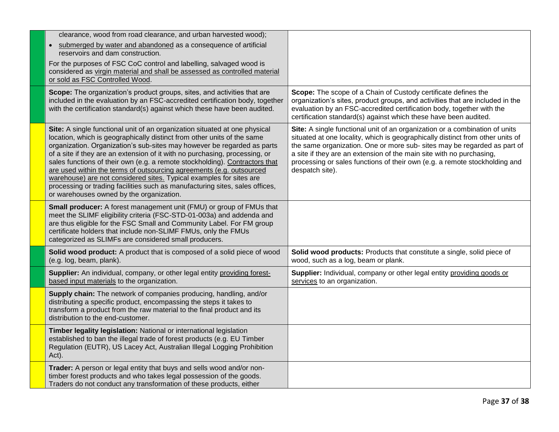| clearance, wood from road clearance, and urban harvested wood);                                                                                                                                                                                                                                                                                                                                                                                                                                                                                                                                                                                                           |                                                                                                                                                                                                                                                                                                                                                                                                                    |
|---------------------------------------------------------------------------------------------------------------------------------------------------------------------------------------------------------------------------------------------------------------------------------------------------------------------------------------------------------------------------------------------------------------------------------------------------------------------------------------------------------------------------------------------------------------------------------------------------------------------------------------------------------------------------|--------------------------------------------------------------------------------------------------------------------------------------------------------------------------------------------------------------------------------------------------------------------------------------------------------------------------------------------------------------------------------------------------------------------|
| • submerged by water and abandoned as a consequence of artificial<br>reservoirs and dam construction.                                                                                                                                                                                                                                                                                                                                                                                                                                                                                                                                                                     |                                                                                                                                                                                                                                                                                                                                                                                                                    |
| For the purposes of FSC CoC control and labelling, salvaged wood is<br>considered as virgin material and shall be assessed as controlled material<br>or sold as FSC Controlled Wood.                                                                                                                                                                                                                                                                                                                                                                                                                                                                                      |                                                                                                                                                                                                                                                                                                                                                                                                                    |
| Scope: The organization's product groups, sites, and activities that are<br>included in the evaluation by an FSC-accredited certification body, together<br>with the certification standard(s) against which these have been audited.                                                                                                                                                                                                                                                                                                                                                                                                                                     | Scope: The scope of a Chain of Custody certificate defines the<br>organization's sites, product groups, and activities that are included in the<br>evaluation by an FSC-accredited certification body, together with the<br>certification standard(s) against which these have been audited.                                                                                                                       |
| Site: A single functional unit of an organization situated at one physical<br>location, which is geographically distinct from other units of the same<br>organization. Organization's sub-sites may however be regarded as parts<br>of a site if they are an extension of it with no purchasing, processing, or<br>sales functions of their own (e.g. a remote stockholding). Contractors that<br>are used within the terms of outsourcing agreements (e.g. outsourced<br>warehouse) are not considered sites. Typical examples for sites are<br>processing or trading facilities such as manufacturing sites, sales offices,<br>or warehouses owned by the organization. | Site: A single functional unit of an organization or a combination of units<br>situated at one locality, which is geographically distinct from other units of<br>the same organization. One or more sub- sites may be regarded as part of<br>a site if they are an extension of the main site with no purchasing,<br>processing or sales functions of their own (e.g. a remote stockholding and<br>despatch site). |
| Small producer: A forest management unit (FMU) or group of FMUs that<br>meet the SLIMF eligibility criteria (FSC-STD-01-003a) and addenda and<br>are thus eligible for the FSC Small and Community Label. For FM group<br>certificate holders that include non-SLIMF FMUs, only the FMUs<br>categorized as SLIMFs are considered small producers.                                                                                                                                                                                                                                                                                                                         |                                                                                                                                                                                                                                                                                                                                                                                                                    |
| Solid wood product: A product that is composed of a solid piece of wood<br>(e.g. log, beam, plank).                                                                                                                                                                                                                                                                                                                                                                                                                                                                                                                                                                       | Solid wood products: Products that constitute a single, solid piece of<br>wood, such as a log, beam or plank.                                                                                                                                                                                                                                                                                                      |
| Supplier: An individual, company, or other legal entity providing forest-<br>based input materials to the organization.                                                                                                                                                                                                                                                                                                                                                                                                                                                                                                                                                   | Supplier: Individual, company or other legal entity providing goods or<br>services to an organization.                                                                                                                                                                                                                                                                                                             |
| Supply chain: The network of companies producing, handling, and/or<br>distributing a specific product, encompassing the steps it takes to<br>transform a product from the raw material to the final product and its<br>distribution to the end-customer.                                                                                                                                                                                                                                                                                                                                                                                                                  |                                                                                                                                                                                                                                                                                                                                                                                                                    |
| Timber legality legislation: National or international legislation<br>established to ban the illegal trade of forest products (e.g. EU Timber<br>Regulation (EUTR), US Lacey Act, Australian Illegal Logging Prohibition<br>Act).                                                                                                                                                                                                                                                                                                                                                                                                                                         |                                                                                                                                                                                                                                                                                                                                                                                                                    |
| Trader: A person or legal entity that buys and sells wood and/or non-<br>timber forest products and who takes legal possession of the goods.<br>Traders do not conduct any transformation of these products, either                                                                                                                                                                                                                                                                                                                                                                                                                                                       |                                                                                                                                                                                                                                                                                                                                                                                                                    |